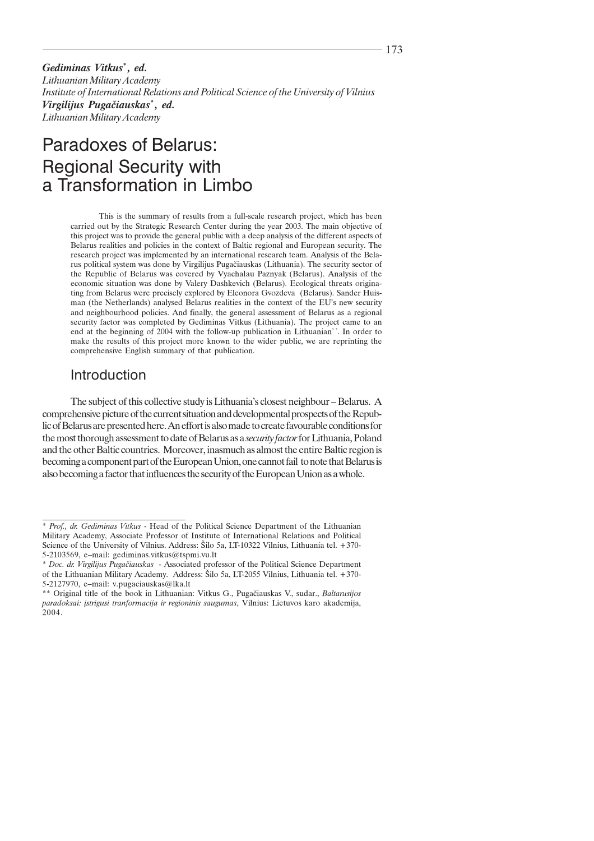Gediminas Vitkus<sup>\*</sup>, ed. Lithuanian Military Academy Institute of International Relations and Political Science of the University of Vilnius Virgilijus Pugačiauskas\*, ed. Lithuanian Military Academy

# Paradoxes of Belarus: **Regional Security with** a Transformation in Limbo

This is the summary of results from a full-scale research project, which has been carried out by the Strategic Research Center during the year 2003. The main objective of this project was to provide the general public with a deep analysis of the different aspects of Belarus realities and policies in the context of Baltic regional and European security. The research project was implemented by an international research team. Analysis of the Belarus political system was done by Virgilijus Pugačiauskas (Lithuania). The security sector of the Republic of Belarus was covered by Vyachalau Paznyak (Belarus). Analysis of the economic situation was done by Valery Dashkevich (Belarus). Ecological threats originating from Belarus were precisely explored by Eleonora Gvozdeva (Belarus). Sander Huisman (the Netherlands) analysed Belarus realities in the context of the EU's new security and neighbourhood policies. And finally, the general assessment of Belarus as a regional security factor was completed by Gediminas Vitkus (Lithuania). The project came to an end at the beginning of 2004 with the follow-up publication in Lithuanian\*\*. In order to make the results of this project more known to the wider public, we are reprinting the comprehensive English summary of that publication.

# Introduction

The subject of this collective study is Lithuania's closest neighbour – Belarus. A comprehensive picture of the current situation and developmental prospects of the Republic of Belarus are presented here. An effort is also made to create favourable conditions for the most thorough assessment to date of Belarus as a *security factor* for Lithuania, Poland and the other Baltic countries. Moreover, inasmuch as almost the entire Baltic region is becoming a component part of the European Union, one cannot fail to note that Belarus is also becoming a factor that influences the security of the European Union as a whole.

<sup>\*</sup> Prof., dr. Gediminas Vitkus - Head of the Political Science Department of the Lithuanian Military Academy, Associate Professor of Institute of International Relations and Political Science of the University of Vilnius. Address: Šilo 5a, LT-10322 Vilnius, Lithuania tel. +370-5-2103569, e-mail: gediminas.vitkus@tspmi.vu.lt

<sup>\*</sup> Doc. dr. Virgilijus Pugačiauskas - Associated professor of the Political Science Department of the Lithuanian Military Academy. Address: Šilo 5a, LT-2055 Vilnius, Lithuania tel. +370-5-2127970, e-mail: v.pugaciauskas@lka.lt

<sup>\*\*</sup> Original title of the book in Lithuanian: Vitkus G., Pugačiauskas V., sudar., Baltarusijos paradoksai: įstrigusi tranformacija ir regioninis saugumas, Vilnius: Lietuvos karo akademija, 2004.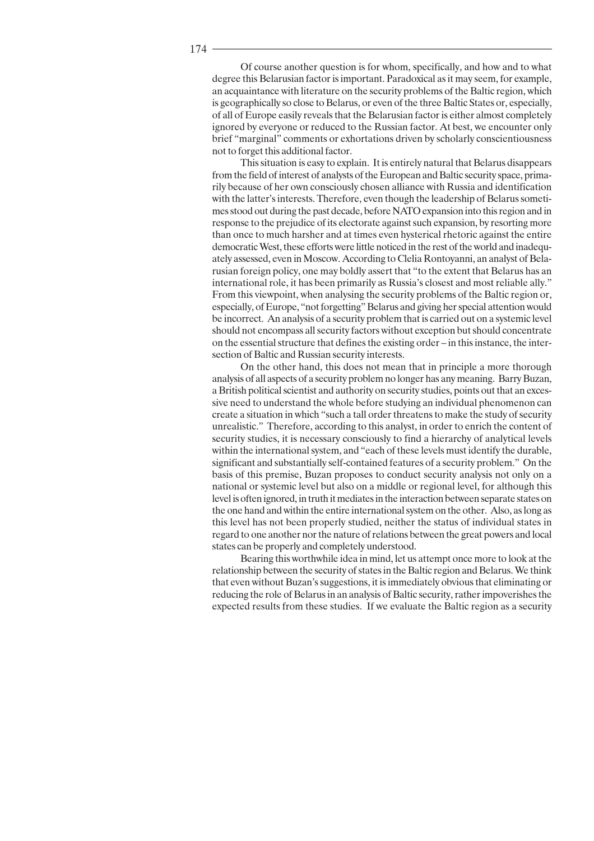174

Of course another question is for whom, specifically, and how and to what degree this Belarusian factor is important. Paradoxical as it may seem, for example, an acquaintance with literature on the security problems of the Baltic region, which is geographically so close to Belarus, or even of the three Baltic States or, especially, of all of Europe easily reveals that the Belarusian factor is either almost completely ignored by everyone or reduced to the Russian factor. At best, we encounter only brief "marginal" comments or exhortations driven by scholarly conscientiousness not to forget this additional factor.

This situation is easy to explain. It is entirely natural that Belarus disappears from the field of interest of analysts of the European and Baltic security space, primarily because of her own consciously chosen alliance with Russia and identification with the latter's interests. Therefore, even though the leadership of Belarus sometimes stood out during the past decade, before NATO expansion into this region and in response to the prejudice of its electorate against such expansion, by resorting more than once to much harsher and at times even hysterical rhetoric against the entire democratic West, these efforts were little noticed in the rest of the world and inadequately assessed, even in Moscow. According to Clelia Rontoyanni, an analyst of Belarusian foreign policy, one may boldly assert that "to the extent that Belarus has an international role, it has been primarily as Russia's closest and most reliable ally." From this viewpoint, when analysing the security problems of the Baltic region or, especially, of Europe, "not forgetting" Belarus and giving her special attention would be incorrect. An analysis of a security problem that is carried out on a systemic level should not encompass all security factors without exception but should concentrate on the essential structure that defines the existing order – in this instance, the intersection of Baltic and Russian security interests.

On the other hand, this does not mean that in principle a more thorough analysis of all aspects of a security problem no longer has any meaning. Barry Buzan, a British political scientist and authority on security studies, points out that an excessive need to understand the whole before studying an individual phenomenon can create a situation in which "such a tall order threatens to make the study of security unrealistic." Therefore, according to this analyst, in order to enrich the content of security studies, it is necessary consciously to find a hierarchy of analytical levels within the international system, and "each of these levels must identify the durable, significant and substantially self-contained features of a security problem." On the basis of this premise, Buzan proposes to conduct security analysis not only on a national or systemic level but also on a middle or regional level, for although this level is often ignored, in truth it mediates in the interaction between separate states on the one hand and within the entire international system on the other. Also, as long as this level has not been properly studied, neither the status of individual states in regard to one another nor the nature of relations between the great powers and local states can be properly and completely understood.

Bearing this worthwhile idea in mind, let us attempt once more to look at the relationship between the security of states in the Baltic region and Belarus. We think that even without Buzan's suggestions, it is immediately obvious that eliminating or reducing the role of Belarus in an analysis of Baltic security, rather impoverishes the expected results from these studies. If we evaluate the Baltic region as a security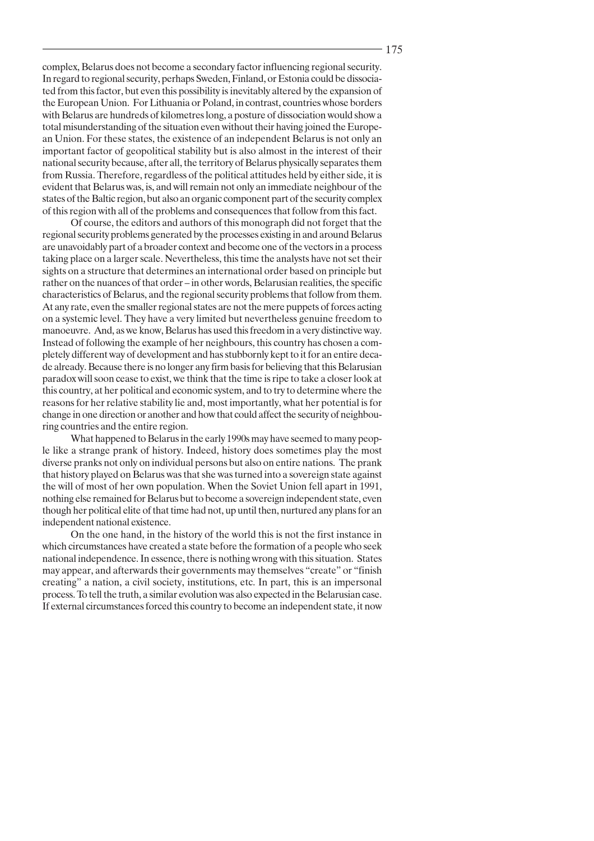complex, Belarus does not become a secondary factor influencing regional security. In regard to regional security, perhaps Sweden, Finland, or Estonia could be dissociated from this factor, but even this possibility is inevitably altered by the expansion of the European Union. For Lithuania or Poland, in contrast, countries whose borders with Belarus are hundreds of kilometres long, a posture of dissociation would show a total misunderstanding of the situation even without their having joined the European Union. For these states, the existence of an independent Belarus is not only an important factor of geopolitical stability but is also almost in the interest of their national security because, after all, the territory of Belarus physically separates them from Russia. Therefore, regardless of the political attitudes held by either side, it is evident that Belarus was, is, and will remain not only an immediate neighbour of the states of the Baltic region, but also an organic component part of the security complex of this region with all of the problems and consequences that follow from this fact.

Of course, the editors and authors of this monograph did not forget that the regional security problems generated by the processes existing in and around Belarus are unavoidably part of a broader context and become one of the vectors in a process taking place on a larger scale. Nevertheless, this time the analysts have not set their sights on a structure that determines an international order based on principle but rather on the nuances of that order – in other words, Belarusian realities, the specific characteristics of Belarus, and the regional security problems that follow from them. At any rate, even the smaller regional states are not the mere puppets of forces acting on a systemic level. They have a very limited but nevertheless genuine freedom to manoeuvre. And, as we know, Belarus has used this freedom in a very distinctive way. Instead of following the example of her neighbours, this country has chosen a completely different way of development and has stubbornly kept to it for an entire decade already. Because there is no longer any firm basis for believing that this Belarusian paradox will soon cease to exist, we think that the time is ripe to take a closer look at this country, at her political and economic system, and to try to determine where the reasons for her relative stability lie and, most importantly, what her potential is for change in one direction or another and how that could affect the security of neighbouring countries and the entire region.

What happened to Belarus in the early 1990s may have seemed to many people like a strange prank of history. Indeed, history does sometimes play the most diverse pranks not only on individual persons but also on entire nations. The prank that history played on Belarus was that she was turned into a sovereign state against the will of most of her own population. When the Soviet Union fell apart in 1991, nothing else remained for Belarus but to become a sovereign independent state, even though her political elite of that time had not, up until then, nurtured any plans for an independent national existence.

On the one hand, in the history of the world this is not the first instance in which circumstances have created a state before the formation of a people who seek national independence. In essence, there is nothing wrong with this situation. States may appear, and afterwards their governments may themselves "create" or "finish creating" a nation, a civil society, institutions, etc. In part, this is an impersonal process. To tell the truth, a similar evolution was also expected in the Belarusian case. If external circumstances forced this country to become an independent state, it now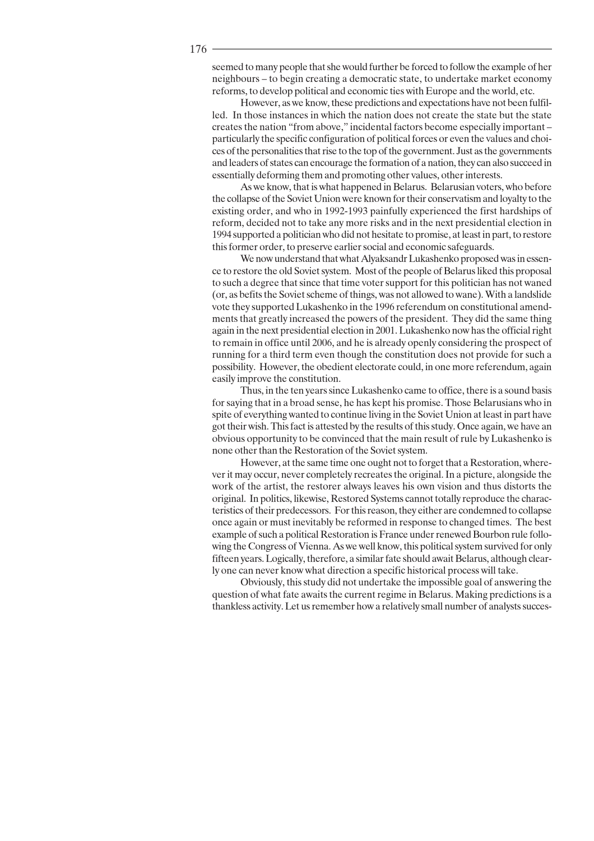seemed to many people that she would further be forced to follow the example of her neighbours – to begin creating a democratic state, to undertake market economy reforms, to develop political and economic ties with Europe and the world, etc.

However, as we know, these predictions and expectations have not been fulfilled. In those instances in which the nation does not create the state but the state creates the nation "from above," incidental factors become especially important particularly the specific configuration of political forces or even the values and choices of the personalities that rise to the top of the government. Just as the governments and leaders of states can encourage the formation of a nation, they can also succeed in essentially deforming them and promoting other values, other interests.

As we know, that is what happened in Belarus. Belarusian voters, who before the collapse of the Soviet Union were known for their conservatism and loyalty to the existing order, and who in 1992-1993 painfully experienced the first hardships of reform, decided not to take any more risks and in the next presidential election in 1994 supported a politician who did not hesitate to promise, at least in part, to restore this former order, to preserve earlier social and economic safeguards.

We now understand that what Alyaksandr Lukashenko proposed was in essence to restore the old Soviet system. Most of the people of Belarus liked this proposal to such a degree that since that time voter support for this politician has not waned (or, as befits the Soviet scheme of things, was not allowed to wane). With a landslide vote they supported Lukashenko in the 1996 referendum on constitutional amendments that greatly increased the powers of the president. They did the same thing again in the next presidential election in 2001. Lukashenko now has the official right to remain in office until 2006, and he is already openly considering the prospect of running for a third term even though the constitution does not provide for such a possibility. However, the obedient electorate could, in one more referendum, again easily improve the constitution.

Thus, in the ten years since Lukashenko came to office, there is a sound basis for saying that in a broad sense, he has kept his promise. Those Belarusians who in spite of everything wanted to continue living in the Soviet Union at least in part have got their wish. This fact is attested by the results of this study. Once again, we have an obvious opportunity to be convinced that the main result of rule by Lukashenko is none other than the Restoration of the Soviet system.

However, at the same time one ought not to forget that a Restoration, wherever it may occur, never completely recreates the original. In a picture, alongside the work of the artist, the restorer always leaves his own vision and thus distorts the original. In politics, likewise, Restored Systems cannot totally reproduce the characteristics of their predecessors. For this reason, they either are condemned to collapse once again or must inevitably be reformed in response to changed times. The best example of such a political Restoration is France under renewed Bourbon rule following the Congress of Vienna. As we well know, this political system survived for only fifteen years. Logically, therefore, a similar fate should await Belarus, although clearly one can never know what direction a specific historical process will take.

Obviously, this study did not undertake the impossible goal of answering the question of what fate awaits the current regime in Belarus. Making predictions is a thankless activity. Let us remember how a relatively small number of analysts succes-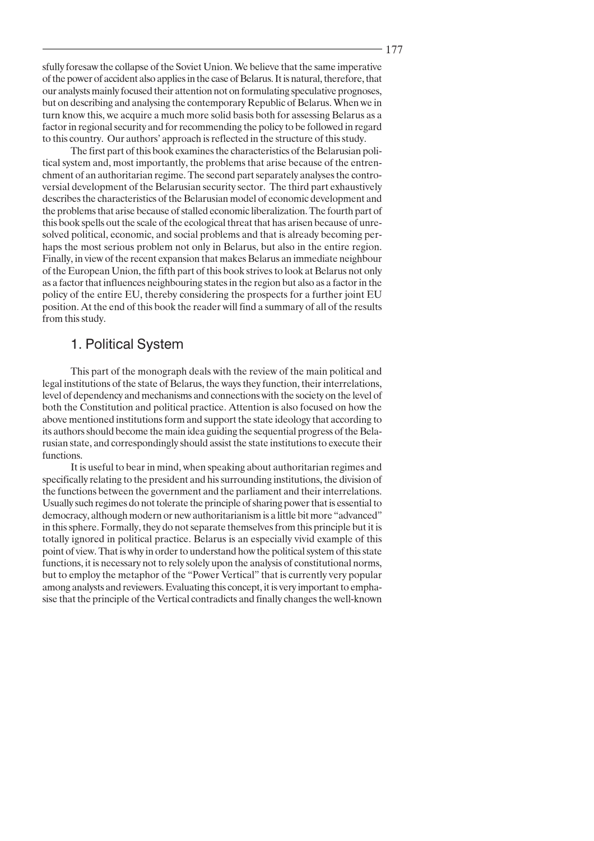sfully foresaw the collapse of the Soviet Union. We believe that the same imperative of the power of accident also applies in the case of Belarus. It is natural, therefore, that our analysts mainly focused their attention not on formulating speculative prognoses, but on describing and analysing the contemporary Republic of Belarus. When we in turn know this, we acquire a much more solid basis both for assessing Belarus as a factor in regional security and for recommending the policy to be followed in regard to this country. Our authors' approach is reflected in the structure of this study.

The first part of this book examines the characteristics of the Belarusian political system and, most importantly, the problems that arise because of the entrenchment of an authoritarian regime. The second part separately analyses the controversial development of the Belarusian security sector. The third part exhaustively describes the characteristics of the Belarusian model of economic development and the problems that arise because of stalled economic liberalization. The fourth part of this book spells out the scale of the ecological threat that has arisen because of unresolved political, economic, and social problems and that is already becoming perhaps the most serious problem not only in Belarus, but also in the entire region. Finally, in view of the recent expansion that makes Belarus an immediate neighbour of the European Union, the fifth part of this book strives to look at Belarus not only as a factor that influences neighbouring states in the region but also as a factor in the policy of the entire EU, thereby considering the prospects for a further joint EU position. At the end of this book the reader will find a summary of all of the results from this study.

# 1. Political System

This part of the monograph deals with the review of the main political and legal institutions of the state of Belarus, the ways they function, their interrelations, level of dependency and mechanisms and connections with the society on the level of both the Constitution and political practice. Attention is also focused on how the above mentioned institutions form and support the state ideology that according to its authors should become the main idea guiding the sequential progress of the Belarusian state, and correspondingly should assist the state institutions to execute their functions.

It is useful to bear in mind, when speaking about authoritarian regimes and specifically relating to the president and his surrounding institutions, the division of the functions between the government and the parliament and their interrelations. Usually such regimes do not tolerate the principle of sharing power that is essential to democracy, although modern or new authoritarianism is a little bit more "advanced" in this sphere. Formally, they do not separate themselves from this principle but it is totally ignored in political practice. Belarus is an especially vivid example of this point of view. That is why in order to understand how the political system of this state functions, it is necessary not to rely solely upon the analysis of constitutional norms, but to employ the metaphor of the "Power Vertical" that is currently very popular among analysts and reviewers. Evaluating this concept, it is very important to emphasise that the principle of the Vertical contradicts and finally changes the well-known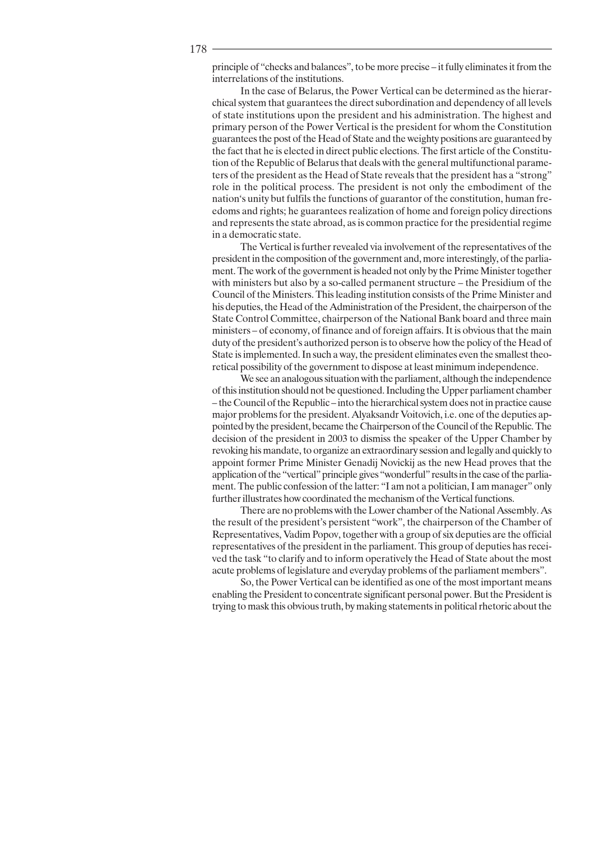principle of "checks and balances", to be more precise – it fully eliminates it from the interrelations of the institutions.

In the case of Belarus, the Power Vertical can be determined as the hierarchical system that guarantees the direct subordination and dependency of all levels of state institutions upon the president and his administration. The highest and primary person of the Power Vertical is the president for whom the Constitution guarantees the post of the Head of State and the weighty positions are guaranteed by the fact that he is elected in direct public elections. The first article of the Constitution of the Republic of Belarus that deals with the general multifunctional parameters of the president as the Head of State reveals that the president has a "strong" role in the political process. The president is not only the embodiment of the nation's unity but fulfils the functions of guarantor of the constitution, human freedoms and rights; he guarantees realization of home and foreign policy directions and represents the state abroad, as is common practice for the presidential regime in a democratic state.

The Vertical is further revealed via involvement of the representatives of the president in the composition of the government and, more interestingly, of the parliament. The work of the government is headed not only by the Prime Minister together with ministers but also by a so-called permanent structure – the Presidium of the Council of the Ministers. This leading institution consists of the Prime Minister and his deputies, the Head of the Administration of the President, the chairperson of the State Control Committee, chairperson of the National Bank board and three main ministers – of economy, of finance and of foreign affairs. It is obvious that the main duty of the president's authorized person is to observe how the policy of the Head of State is implemented. In such a way, the president eliminates even the smallest theoretical possibility of the government to dispose at least minimum independence.

We see an analogous situation with the parliament, although the independence of this institution should not be questioned. Including the Upper parliament chamber - the Council of the Republic – into the hierarchical system does not in practice cause major problems for the president. Alvaksandr Voitovich, *i.e.* one of the deputies appointed by the president, became the Chairperson of the Council of the Republic. The decision of the president in 2003 to dismiss the speaker of the Upper Chamber by revoking his mandate, to organize an extraordinary session and legally and quickly to appoint former Prime Minister Genadij Novickij as the new Head proves that the application of the "vertical" principle gives "wonderful" results in the case of the parliament. The public confession of the latter: "I am not a politician, I am manager" only further illustrates how coordinated the mechanism of the Vertical functions.

There are no problems with the Lower chamber of the National Assembly. As the result of the president's persistent "work", the chairperson of the Chamber of Representatives, Vadim Popov, together with a group of six deputies are the official representatives of the president in the parliament. This group of deputies has received the task "to clarify and to inform operatively the Head of State about the most acute problems of legislature and everyday problems of the parliament members".

So, the Power Vertical can be identified as one of the most important means enabling the President to concentrate significant personal power. But the President is trying to mask this obvious truth, by making statements in political rhetoric about the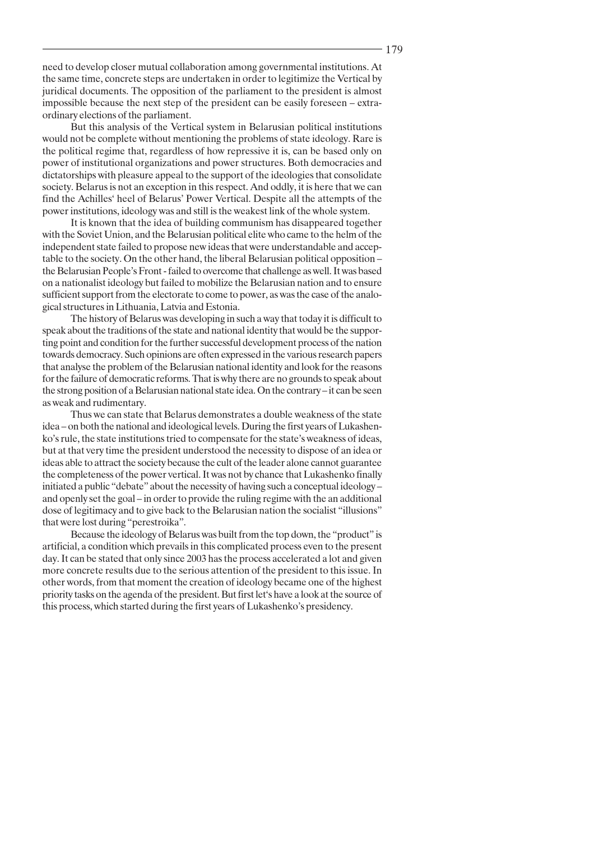need to develop closer mutual collaboration among governmental institutions. At the same time, concrete steps are undertaken in order to legitimize the Vertical by juridical documents. The opposition of the parliament to the president is almost impossible because the next step of the president can be easily foreseen – extraordinary elections of the parliament.

But this analysis of the Vertical system in Belarusian political institutions would not be complete without mentioning the problems of state ideology. Rare is the political regime that, regardless of how repressive it is, can be based only on power of institutional organizations and power structures. Both democracies and dictatorships with pleasure appeal to the support of the ideologies that consolidate society. Belarus is not an exception in this respect. And oddly, it is here that we can find the Achilles' heel of Belarus' Power Vertical. Despite all the attempts of the power institutions, ideology was and still is the weakest link of the whole system.

It is known that the idea of building communism has disappeared together with the Soviet Union, and the Belarusian political elite who came to the helm of the independent state failed to propose new ideas that were understandable and acceptable to the society. On the other hand, the liberal Belarusian political opposition the Belarusian People's Front-failed to overcome that challenge as well. It was based on a nationalist ideology but failed to mobilize the Belarusian nation and to ensure sufficient support from the electorate to come to power, as was the case of the analogical structures in Lithuania, Latvia and Estonia.

The history of Belarus was developing in such a way that today it is difficult to speak about the traditions of the state and national identity that would be the supporting point and condition for the further successful development process of the nation towards democracy. Such opinions are often expressed in the various research papers that analyse the problem of the Belarusian national identity and look for the reasons for the failure of democratic reforms. That is why there are no grounds to speak about the strong position of a Belarusian national state idea. On the contrary – it can be seen as weak and rudimentary.

Thus we can state that Belarus demonstrates a double weakness of the state idea - on both the national and ideological levels. During the first years of Lukashenko's rule, the state institutions tried to compensate for the state's weakness of ideas, but at that very time the president understood the necessity to dispose of an idea or ideas able to attract the society because the cult of the leader alone cannot guarantee the completeness of the power vertical. It was not by chance that Lukashenko finally initiated a public "debate" about the necessity of having such a conceptual ideologyand openly set the goal – in order to provide the ruling regime with the an additional dose of legitimacy and to give back to the Belarusian nation the socialist "illusions" that were lost during "perestroika".

Because the ideology of Belarus was built from the top down, the "product" is artificial, a condition which prevails in this complicated process even to the present day. It can be stated that only since 2003 has the process accelerated a lot and given more concrete results due to the serious attention of the president to this issue. In other words, from that moment the creation of ideology became one of the highest priority tasks on the agenda of the president. But first let's have a look at the source of this process, which started during the first years of Lukashenko's presidency.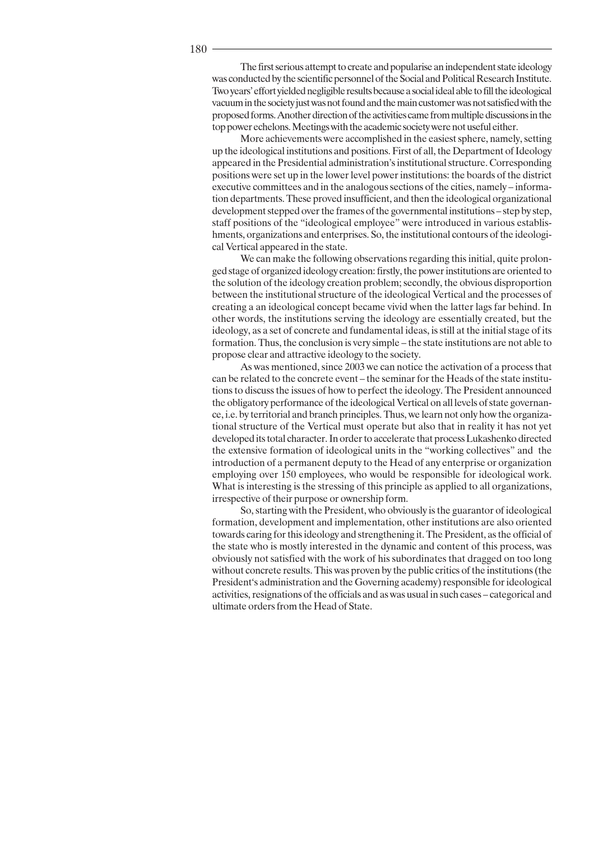The first serious attempt to create and popularise an independent state ideology was conducted by the scientific personnel of the Social and Political Research Institute. Two years' effort yielded negligible results because a social ideal able to fill the ideological vacuum in the society just was not found and the main customer was not satisfied with the proposed forms. Another direction of the activities came from multiple discussions in the top power echelons. Meetings with the academic society were not useful either.

More achievements were accomplished in the easiest sphere, namely, setting up the ideological institutions and positions. First of all, the Department of Ideology appeared in the Presidential administration's institutional structure. Corresponding positions were set up in the lower level power institutions: the boards of the district executive committees and in the analogous sections of the cities, namely – information departments. These proved insufficient, and then the ideological organizational development stepped over the frames of the governmental institutions - step by step, staff positions of the "ideological employee" were introduced in various establishments, organizations and enterprises. So, the institutional contours of the ideological Vertical appeared in the state.

We can make the following observations regarding this initial, quite prolonged stage of organized ideology creation: firstly, the power institutions are oriented to the solution of the ideology creation problem; secondly, the obvious disproportion between the institutional structure of the ideological Vertical and the processes of creating a an ideological concept became vivid when the latter lags far behind. In other words, the institutions serving the ideology are essentially created, but the ideology, as a set of concrete and fundamental ideas, is still at the initial stage of its formation. Thus, the conclusion is very simple - the state institutions are not able to propose clear and attractive ideology to the society.

As was mentioned, since 2003 we can notice the activation of a process that can be related to the concrete event – the seminar for the Heads of the state institutions to discuss the issues of how to perfect the ideology. The President announced the obligatory performance of the ideological Vertical on all levels of state governance, i.e. by territorial and branch principles. Thus, we learn not only how the organizational structure of the Vertical must operate but also that in reality it has not yet developed its total character. In order to accelerate that process Lukashenko directed the extensive formation of ideological units in the "working collectives" and the introduction of a permanent deputy to the Head of any enterprise or organization employing over 150 employees, who would be responsible for ideological work. What is interesting is the stressing of this principle as applied to all organizations, irrespective of their purpose or ownership form.

So, starting with the President, who obviously is the guarantor of ideological formation, development and implementation, other institutions are also oriented towards caring for this ideology and strengthening it. The President, as the official of the state who is mostly interested in the dynamic and content of this process, was obviously not satisfied with the work of his subordinates that dragged on too long without concrete results. This was proven by the public critics of the institutions (the President's administration and the Governing academy) responsible for ideological activities, resignations of the officials and as was usual in such cases – categorical and ultimate orders from the Head of State.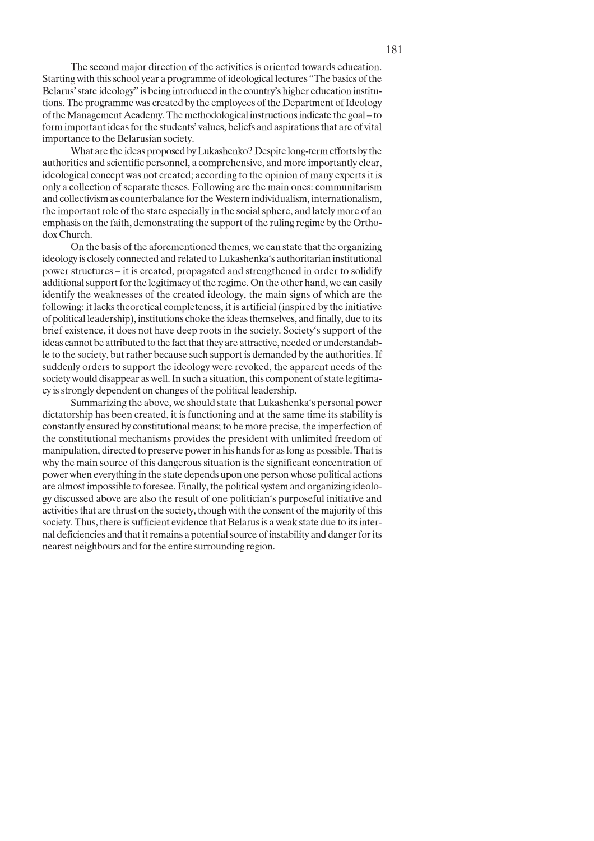The second major direction of the activities is oriented towards education. Starting with this school year a programme of ideological lectures "The basics of the Belarus' state ideology" is being introduced in the country's higher education institutions. The programme was created by the employees of the Department of Ideology of the Management Academy. The methodological instructions indicate the goal – to form important ideas for the students' values, beliefs and aspirations that are of vital importance to the Belarusian society.

What are the ideas proposed by Lukashenko? Despite long-term efforts by the authorities and scientific personnel, a comprehensive, and more importantly clear, ideological concept was not created; according to the opinion of many experts it is only a collection of separate theses. Following are the main ones: communitarism and collectivism as counterbalance for the Western individualism, internationalism, the important role of the state especially in the social sphere, and lately more of an emphasis on the faith, demonstrating the support of the ruling regime by the Orthodox Church.

On the basis of the aforementioned themes, we can state that the organizing ideology is closely connected and related to Lukashenka's authoritarian institutional power structures – it is created, propagated and strengthened in order to solidify additional support for the legitimacy of the regime. On the other hand, we can easily identify the weaknesses of the created ideology, the main signs of which are the following: it lacks theoretical completeness, it is artificial (inspired by the initiative of political leadership), institutions choke the ideas themselves, and finally, due to its brief existence, it does not have deep roots in the society. Society's support of the ideas cannot be attributed to the fact that they are attractive, needed or understandable to the society, but rather because such support is demanded by the authorities. If suddenly orders to support the ideology were revoked, the apparent needs of the society would disappear as well. In such a situation, this component of state legitimacy is strongly dependent on changes of the political leadership.

Summarizing the above, we should state that Lukashenka's personal power dictatorship has been created, it is functioning and at the same time its stability is constantly ensured by constitutional means; to be more precise, the imperfection of the constitutional mechanisms provides the president with unlimited freedom of manipulation, directed to preserve power in his hands for as long as possible. That is why the main source of this dangerous situation is the significant concentration of power when everything in the state depends upon one person whose political actions are almost impossible to foresee. Finally, the political system and organizing ideology discussed above are also the result of one politician's purposeful initiative and activities that are thrust on the society, though with the consent of the majority of this society. Thus, there is sufficient evidence that Belarus is a weak state due to its internal deficiencies and that it remains a potential source of instability and danger for its nearest neighbours and for the entire surrounding region.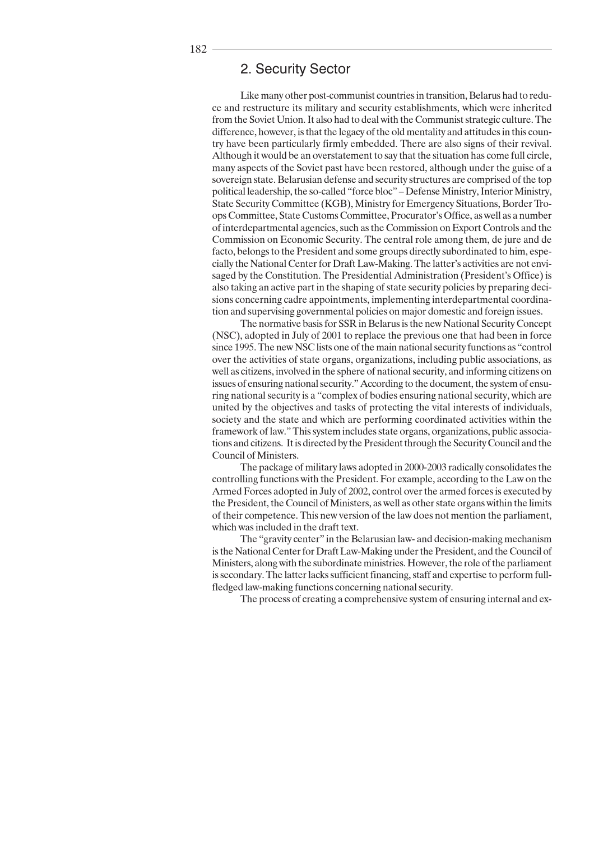## 2. Security Sector

Like many other post-communist countries in transition, Belarus had to reduce and restructure its military and security establishments, which were inherited from the Soviet Union. It also had to deal with the Communist strategic culture. The difference, however, is that the legacy of the old mentality and attitudes in this country have been particularly firmly embedded. There are also signs of their revival. Although it would be an overstatement to say that the situation has come full circle, many aspects of the Soviet past have been restored, although under the guise of a sovereign state. Belarusian defense and security structures are comprised of the top political leadership, the so-called "force bloc" - Defense Ministry, Interior Ministry, State Security Committee (KGB), Ministry for Emergency Situations, Border Troops Committee, State Customs Committee, Procurator's Office, as well as a number of interdepartmental agencies, such as the Commission on Export Controls and the Commission on Economic Security. The central role among them, de jure and de facto, belongs to the President and some groups directly subordinated to him, especially the National Center for Draft Law-Making. The latter's activities are not envisaged by the Constitution. The Presidential Administration (President's Office) is also taking an active part in the shaping of state security policies by preparing decisions concerning cadre appointments, implementing interdepartmental coordination and supervising governmental policies on major domestic and foreign issues.

The normative basis for SSR in Belarus is the new National Security Concept (NSC), adopted in July of 2001 to replace the previous one that had been in force since 1995. The new NSC lists one of the main national security functions as "control" over the activities of state organs, organizations, including public associations, as well as citizens, involved in the sphere of national security, and informing citizens on issues of ensuring national security." According to the document, the system of ensuring national security is a "complex of bodies ensuring national security, which are united by the objectives and tasks of protecting the vital interests of individuals, society and the state and which are performing coordinated activities within the framework of law." This system includes state organs, organizations, public associations and citizens. It is directed by the President through the Security Council and the Council of Ministers.

The package of military laws adopted in 2000-2003 radically consolidates the controlling functions with the President. For example, according to the Law on the Armed Forces adopted in July of 2002, control over the armed forces is executed by the President, the Council of Ministers, as well as other state organs within the limits of their competence. This new version of the law does not mention the parliament, which was included in the draft text.

The "gravity center" in the Belarusian law- and decision-making mechanism is the National Center for Draft Law-Making under the President, and the Council of Ministers, along with the subordinate ministries. However, the role of the parliament is secondary. The latter lacks sufficient financing, staff and expertise to perform fullfledged law-making functions concerning national security.

The process of creating a comprehensive system of ensuring internal and ex-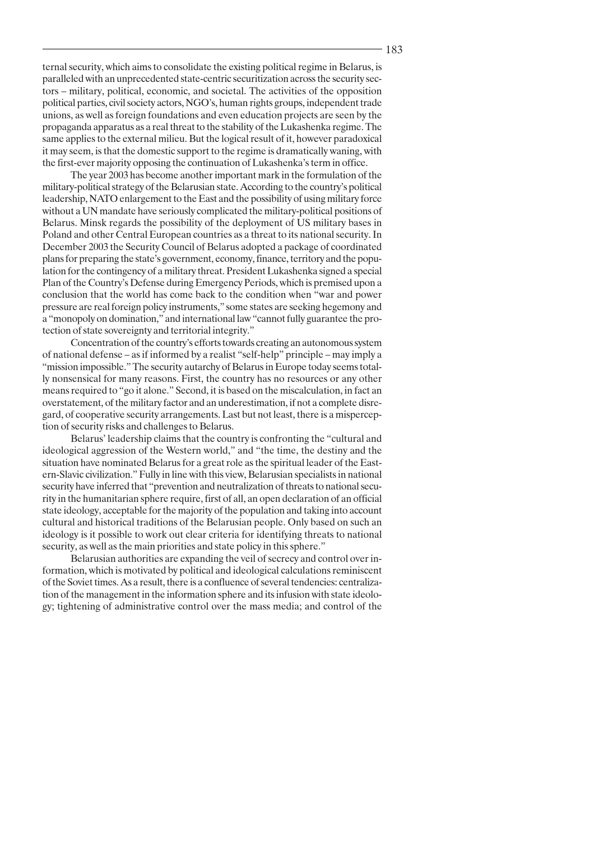ternal security, which aims to consolidate the existing political regime in Belarus, is paralleled with an unprecedented state-centric securitization across the security sectors – military, political, economic, and societal. The activities of the opposition political parties, civil society actors, NGO's, human rights groups, independent trade unions, as well as foreign foundations and even education projects are seen by the propaganda apparatus as a real threat to the stability of the Lukashenka regime. The same applies to the external milieu. But the logical result of it, however paradoxical it may seem, is that the domestic support to the regime is dramatically waning, with the first-ever majority opposing the continuation of Lukashenka's term in office.

The year 2003 has become another important mark in the formulation of the military-political strategy of the Belarusian state. According to the country's political leadership, NATO enlargement to the East and the possibility of using military force without a UN mandate have seriously complicated the military-political positions of Belarus. Minsk regards the possibility of the deployment of US military bases in Poland and other Central European countries as a threat to its national security. In December 2003 the Security Council of Belarus adopted a package of coordinated plans for preparing the state's government, economy, finance, territory and the population for the contingency of a military threat. President Lukashenka signed a special Plan of the Country's Defense during Emergency Periods, which is premised upon a conclusion that the world has come back to the condition when "war and power pressure are real foreign policy instruments," some states are seeking hegemony and a "monopoly on domination," and international law "cannot fully guarantee the protection of state sovereignty and territorial integrity."

Concentration of the country's efforts towards creating an autonomous system of national defense - as if informed by a realist "self-help" principle - may imply a "mission impossible." The security autarchy of Belarus in Europe today seems totally nonsensical for many reasons. First, the country has no resources or any other means required to "go it alone." Second, it is based on the miscalculation, in fact an overstatement, of the military factor and an underestimation, if not a complete disregard, of cooperative security arrangements. Last but not least, there is a misperception of security risks and challenges to Belarus.

Belarus' leadership claims that the country is confronting the "cultural and" ideological aggression of the Western world," and "the time, the destiny and the situation have nominated Belarus for a great role as the spiritual leader of the Eastern-Slavic civilization." Fully in line with this view, Belarusian specialists in national security have inferred that "prevention and neutralization of threats to national security in the humanitarian sphere require, first of all, an open declaration of an official state ideology, acceptable for the majority of the population and taking into account cultural and historical traditions of the Belarusian people. Only based on such an ideology is it possible to work out clear criteria for identifying threats to national security, as well as the main priorities and state policy in this sphere."

Belarusian authorities are expanding the veil of secrecy and control over information, which is motivated by political and ideological calculations reminiscent of the Soviet times. As a result, there is a confluence of several tendencies: centralization of the management in the information sphere and its infusion with state ideology; tightening of administrative control over the mass media; and control of the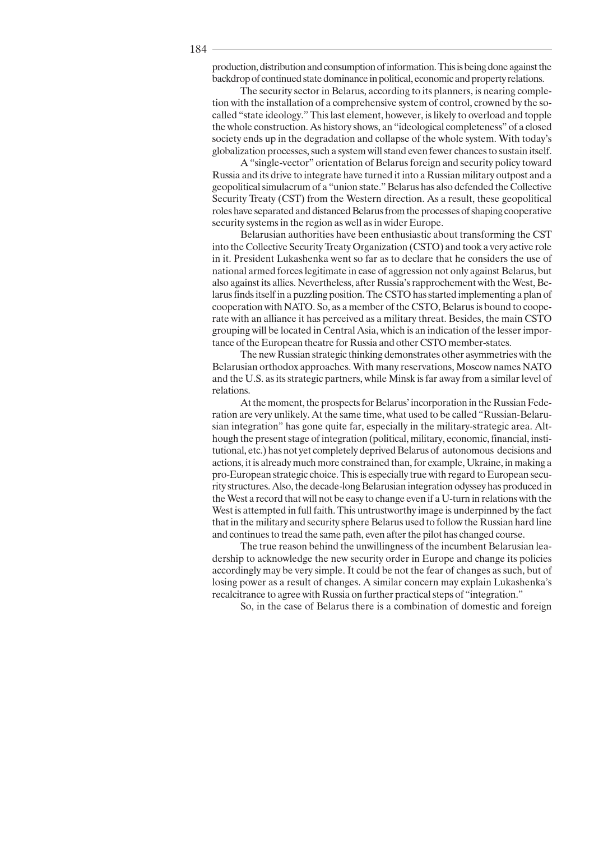production, distribution and consumption of information. This is being done against the backdrop of continued state dominance in political, economic and property relations.

The security sector in Belarus, according to its planners, is nearing completion with the installation of a comprehensive system of control, crowned by the socalled "state ideology." This last element, however, is likely to overload and topple the whole construction. As history shows, an "ideological completeness" of a closed society ends up in the degradation and collapse of the whole system. With today's globalization processes, such a system will stand even fewer chances to sustain itself.

A "single-vector" orientation of Belarus foreign and security policy toward Russia and its drive to integrate have turned it into a Russian military outpost and a geopolitical simulacrum of a "union state." Belarus has also defended the Collective Security Treaty (CST) from the Western direction. As a result, these geopolitical roles have separated and distanced Belarus from the processes of shaping cooperative security systems in the region as well as in wider Europe.

Belarusian authorities have been enthusiastic about transforming the CST into the Collective Security Treaty Organization (CSTO) and took a very active role in it. President Lukashenka went so far as to declare that he considers the use of national armed forces legitimate in case of aggression not only against Belarus, but also against its allies. Nevertheless, after Russia's rapprochement with the West, Belarus finds itself in a puzzling position. The CSTO has started implementing a plan of cooperation with NATO. So, as a member of the CSTO, Belarus is bound to cooperate with an alliance it has perceived as a military threat. Besides, the main CSTO grouping will be located in Central Asia, which is an indication of the lesser importance of the European theatre for Russia and other CSTO member-states.

The new Russian strategic thinking demonstrates other asymmetries with the Belarusian orthodox approaches. With many reservations, Moscow names NATO and the U.S. as its strategic partners, while Minsk is far away from a similar level of relations.

At the moment, the prospects for Belarus' incorporation in the Russian Federation are very unlikely. At the same time, what used to be called "Russian-Belarusian integration" has gone quite far, especially in the military-strategic area. Although the present stage of integration (political, military, economic, financial, institutional, etc.) has not yet completely deprived Belarus of autonomous decisions and actions, it is already much more constrained than, for example, Ukraine, in making a pro-European strategic choice. This is especially true with regard to European security structures. Also, the decade-long Belarusian integration odyssey has produced in the West a record that will not be easy to change even if a U-turn in relations with the West is attempted in full faith. This untrustworthy image is underpinned by the fact that in the military and security sphere Belarus used to follow the Russian hard line and continues to tread the same path, even after the pilot has changed course.

The true reason behind the unwillingness of the incumbent Belarusian leadership to acknowledge the new security order in Europe and change its policies accordingly may be very simple. It could be not the fear of changes as such, but of losing power as a result of changes. A similar concern may explain Lukashenka's recalcitrance to agree with Russia on further practical steps of "integration."

So, in the case of Belarus there is a combination of domestic and foreign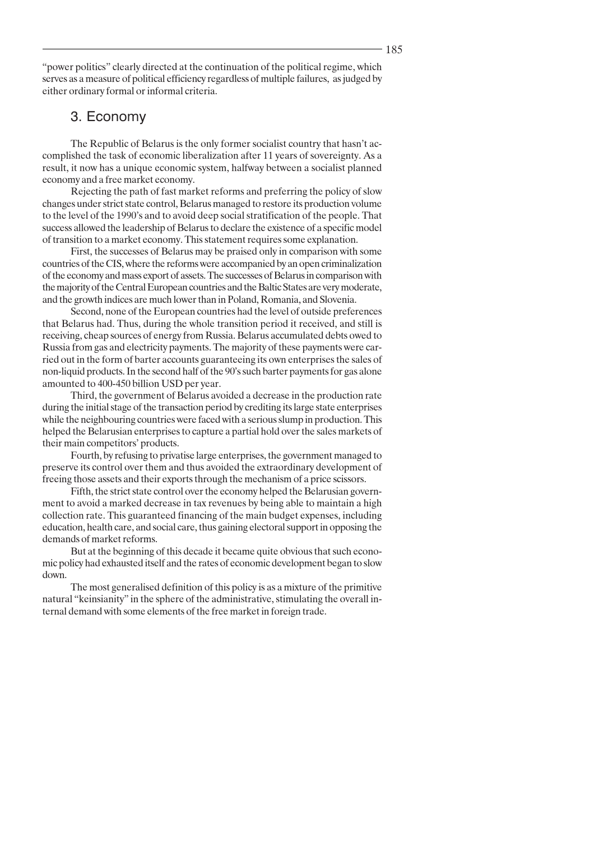"power politics" clearly directed at the continuation of the political regime, which serves as a measure of political efficiency regardless of multiple failures, as judged by either ordinary formal or informal criteria.

## 3. Economy

The Republic of Belarus is the only former socialist country that hasn't accomplished the task of economic liberalization after 11 years of sovereignty. As a result, it now has a unique economic system, halfway between a socialist planned economy and a free market economy.

Rejecting the path of fast market reforms and preferring the policy of slow changes under strict state control, Belarus managed to restore its production volume to the level of the 1990's and to avoid deep social stratification of the people. That success allowed the leadership of Belarus to declare the existence of a specific model of transition to a market economy. This statement requires some explanation.

First, the successes of Belarus may be praised only in comparison with some countries of the CIS, where the reforms were accompanied by an open criminalization of the economy and mass export of assets. The successes of Belarus in comparison with the majority of the Central European countries and the Baltic States are very moderate, and the growth indices are much lower than in Poland, Romania, and Slovenia.

Second, none of the European countries had the level of outside preferences that Belarus had. Thus, during the whole transition period it received, and still is receiving, cheap sources of energy from Russia. Belarus accumulated debts owed to Russia from gas and electricity payments. The majority of these payments were carried out in the form of barter accounts guaranteeing its own enterprises the sales of non-liquid products. In the second half of the 90's such barter payments for gas alone amounted to 400-450 billion USD per year.

Third, the government of Belarus avoided a decrease in the production rate during the initial stage of the transaction period by crediting its large state enterprises while the neighbouring countries were faced with a serious slump in production. This helped the Belarusian enterprises to capture a partial hold over the sales markets of their main competitors' products.

Fourth, by refusing to privatise large enterprises, the government managed to preserve its control over them and thus avoided the extraordinary development of freeing those assets and their exports through the mechanism of a price scissors.

Fifth, the strict state control over the economy helped the Belarusian government to avoid a marked decrease in tax revenues by being able to maintain a high collection rate. This guaranteed financing of the main budget expenses, including education, health care, and social care, thus gaining electoral support in opposing the demands of market reforms.

But at the beginning of this decade it became quite obvious that such economic policy had exhausted itself and the rates of economic development began to slow down.

The most generalised definition of this policy is as a mixture of the primitive natural "keinsianity" in the sphere of the administrative, stimulating the overall internal demand with some elements of the free market in foreign trade.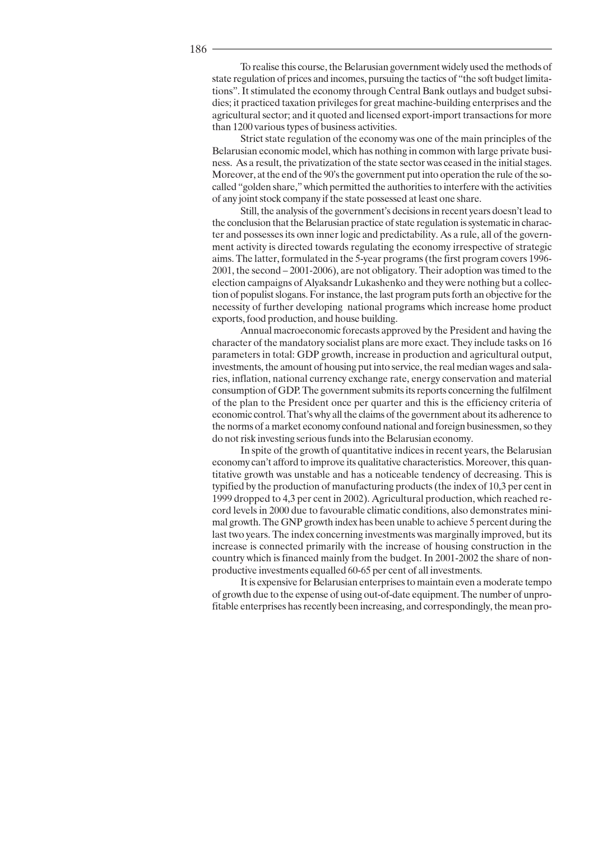To realise this course, the Belarusian government widely used the methods of state regulation of prices and incomes, pursuing the tactics of "the soft budget limitations". It stimulated the economy through Central Bank outlays and budget subsidies; it practiced taxation privileges for great machine-building enterprises and the agricultural sector; and it quoted and licensed export-import transactions for more than 1200 various types of business activities.

Strict state regulation of the economy was one of the main principles of the Belarusian economic model, which has nothing in common with large private business. As a result, the privatization of the state sector was ceased in the initial stages. Moreover, at the end of the 90's the government put into operation the rule of the socalled "golden share," which permitted the authorities to interfere with the activities of any joint stock company if the state possessed at least one share.

Still, the analysis of the government's decisions in recent years doesn't lead to the conclusion that the Belarusian practice of state regulation is systematic in character and possesses its own inner logic and predictability. As a rule, all of the government activity is directed towards regulating the economy irrespective of strategic aims. The latter, formulated in the 5-year programs (the first program covers 1996-2001, the second – 2001-2006), are not obligatory. Their adoption was timed to the election campaigns of Alvaksandr Lukashenko and they were nothing but a collection of populist slogans. For instance, the last program puts forth an objective for the necessity of further developing national programs which increase home product exports, food production, and house building.

Annual macroeconomic forecasts approved by the President and having the character of the mandatory socialist plans are more exact. They include tasks on 16 parameters in total: GDP growth, increase in production and agricultural output, investments, the amount of housing put into service, the real median wages and salaries, inflation, national currency exchange rate, energy conservation and material consumption of GDP. The government submits its reports concerning the fulfilment of the plan to the President once per quarter and this is the efficiency criteria of economic control. That's why all the claims of the government about its adherence to the norms of a market economy confound national and foreign businessmen, so they do not risk investing serious funds into the Belarusian economy.

In spite of the growth of quantitative indices in recent years, the Belarusian economy can't afford to improve its qualitative characteristics. Moreover, this quantitative growth was unstable and has a noticeable tendency of decreasing. This is typified by the production of manufacturing products (the index of 10,3 per cent in 1999 dropped to 4,3 per cent in 2002). Agricultural production, which reached record levels in 2000 due to favourable climatic conditions, also demonstrates minimal growth. The GNP growth index has been unable to achieve 5 percent during the last two years. The index concerning investments was marginally improved, but its increase is connected primarily with the increase of housing construction in the country which is financed mainly from the budget. In 2001-2002 the share of nonproductive investments equalled 60-65 per cent of all investments.

It is expensive for Belarusian enterprises to maintain even a moderate tempo of growth due to the expense of using out-of-date equipment. The number of unprofitable enterprises has recently been increasing, and correspondingly, the mean pro-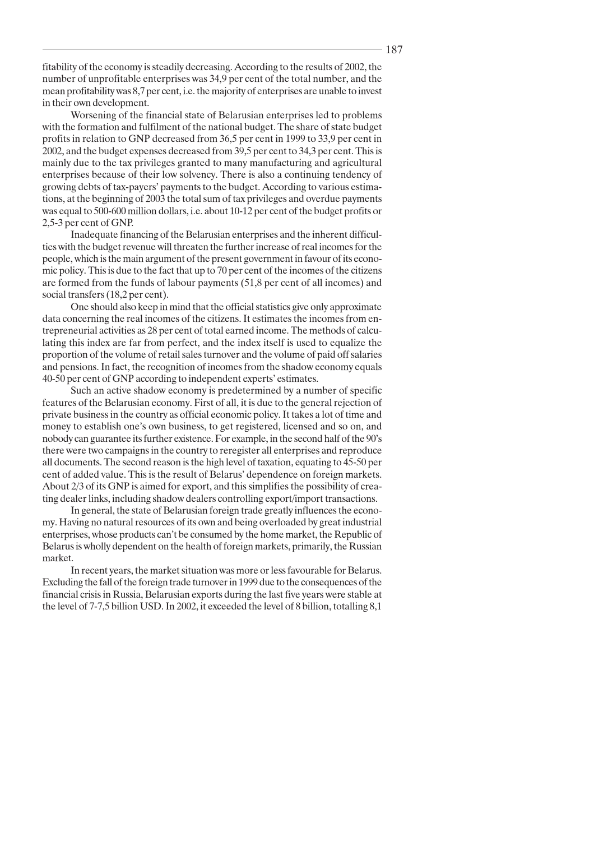fitability of the economy is steadily decreasing. According to the results of 2002, the number of unprofitable enterprises was 34,9 per cent of the total number, and the mean profitability was 8,7 per cent, i.e. the majority of enterprises are unable to invest in their own development.

Worsening of the financial state of Belarusian enterprises led to problems with the formation and fulfilment of the national budget. The share of state budget profits in relation to GNP decreased from 36,5 per cent in 1999 to 33,9 per cent in 2002, and the budget expenses decreased from 39,5 per cent to 34,3 per cent. This is mainly due to the tax privileges granted to many manufacturing and agricultural enterprises because of their low solvency. There is also a continuing tendency of growing debts of tax-payers' payments to the budget. According to various estimations, at the beginning of 2003 the total sum of tax privileges and overdue payments was equal to 500-600 million dollars, i.e. about 10-12 per cent of the budget profits or 2,5-3 per cent of GNP.

Inadequate financing of the Belarusian enterprises and the inherent difficulties with the budget revenue will threaten the further increase of real incomes for the people, which is the main argument of the present government in favour of its economic policy. This is due to the fact that up to 70 per cent of the incomes of the citizens are formed from the funds of labour payments (51,8 per cent of all incomes) and social transfers (18,2 per cent).

One should also keep in mind that the official statistics give only approximate data concerning the real incomes of the citizens. It estimates the incomes from entrepreneurial activities as 28 per cent of total earned income. The methods of calculating this index are far from perfect, and the index itself is used to equalize the proportion of the volume of retail sales turnover and the volume of paid off salaries and pensions. In fact, the recognition of incomes from the shadow economy equals 40-50 per cent of GNP according to independent experts' estimates.

Such an active shadow economy is predetermined by a number of specific features of the Belarusian economy. First of all, it is due to the general rejection of private business in the country as official economic policy. It takes a lot of time and money to establish one's own business, to get registered, licensed and so on, and nobody can guarantee its further existence. For example, in the second half of the 90's there were two campaigns in the country to reregister all enterprises and reproduce all documents. The second reason is the high level of taxation, equating to 45-50 per cent of added value. This is the result of Belarus' dependence on foreign markets. About 2/3 of its GNP is aimed for export, and this simplifies the possibility of creating dealer links, including shadow dealers controlling export/import transactions.

In general, the state of Belarusian foreign trade greatly influences the economy. Having no natural resources of its own and being overloaded by great industrial enterprises, whose products can't be consumed by the home market, the Republic of Belarus is wholly dependent on the health of foreign markets, primarily, the Russian market.

In recent years, the market situation was more or less favourable for Belarus. Excluding the fall of the foreign trade turnover in 1999 due to the consequences of the financial crisis in Russia, Belarusian exports during the last five years were stable at the level of 7-7,5 billion USD. In 2002, it exceeded the level of 8 billion, totalling 8,1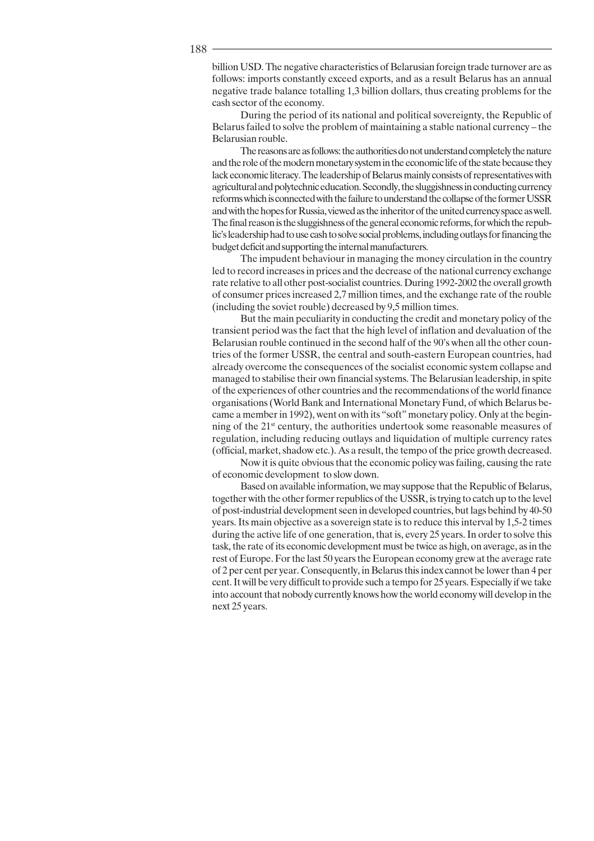billion USD. The negative characteristics of Belarusian foreign trade turnover are as follows: imports constantly exceed exports, and as a result Belarus has an annual negative trade balance totalling 1,3 billion dollars, thus creating problems for the cash sector of the economy.

During the period of its national and political sovereignty, the Republic of Belarus failed to solve the problem of maintaining a stable national currency – the Belarusian rouble.

The reasons are as follows: the authorities do not understand completely the nature and the role of the modern monetary system in the economic life of the state because they lack economic literacy. The leadership of Belarus mainly consists of representatives with agricultural and polytechnic education. Secondly, the sluggishness in conducting currency reforms which is connected with the failure to understand the collapse of the former USSR and with the hopes for Russia, viewed as the inheritor of the united currency space as well. The final reason is the sluggishness of the general economic reforms, for which the republic's leadership had to use cash to solve social problems, including outlays for financing the budget deficit and supporting the internal manufacturers.

The impudent behaviour in managing the money circulation in the country led to record increases in prices and the decrease of the national currency exchange rate relative to all other post-socialist countries. During 1992-2002 the overall growth of consumer prices increased 2,7 million times, and the exchange rate of the rouble (including the soviet rouble) decreased by 9,5 million times.

But the main peculiarity in conducting the credit and monetary policy of the transient period was the fact that the high level of inflation and devaluation of the Belarusian rouble continued in the second half of the 90's when all the other countries of the former USSR, the central and south-eastern European countries, had already overcome the consequences of the socialist economic system collapse and managed to stabilise their own financial systems. The Belarusian leadership, in spite of the experiences of other countries and the recommendations of the world finance organisations (World Bank and International Monetary Fund, of which Belarus became a member in 1992), went on with its "soft" monetary policy. Only at the beginning of the 21<sup>st</sup> century, the authorities undertook some reasonable measures of regulation, including reducing outlays and liquidation of multiple currency rates (official, market, shadow etc.). As a result, the tempo of the price growth decreased.

Now it is quite obvious that the economic policy was failing, causing the rate of economic development to slow down.

Based on available information, we may suppose that the Republic of Belarus, together with the other former republics of the USSR, is trying to catch up to the level of post-industrial development seen in developed countries, but lags behind by 40-50 years. Its main objective as a sovereign state is to reduce this interval by 1,5-2 times during the active life of one generation, that is, every 25 years. In order to solve this task, the rate of its economic development must be twice as high, on average, as in the rest of Europe. For the last 50 years the European economy grew at the average rate of 2 per cent per year. Consequently, in Belarus this index cannot be lower than 4 per cent. It will be very difficult to provide such a tempo for 25 years. Especially if we take into account that nobody currently knows how the world economy will develop in the next 25 years.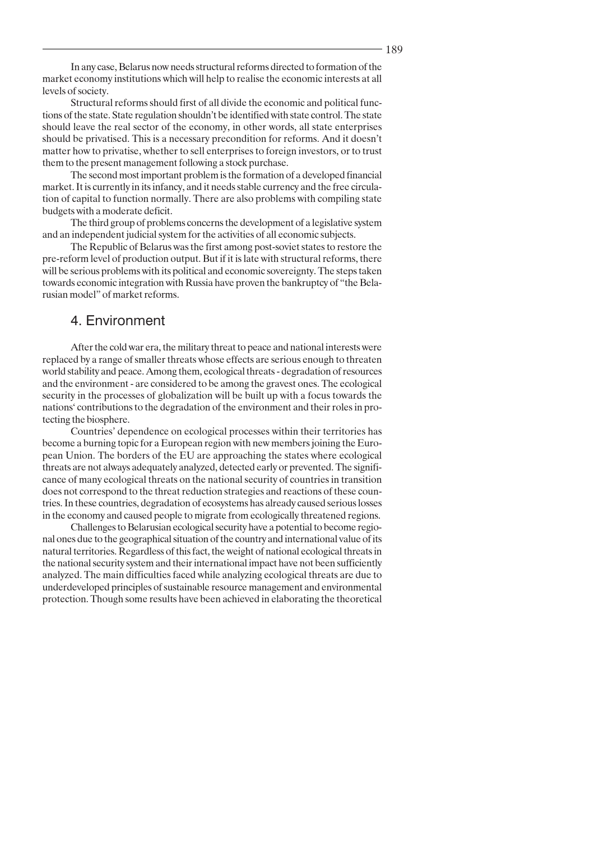In any case, Belarus now needs structural reforms directed to formation of the market economy institutions which will help to realise the economic interests at all levels of society.

Structural reforms should first of all divide the economic and political functions of the state. State regulation shouldn't be identified with state control. The state should leave the real sector of the economy, in other words, all state enterprises should be privatised. This is a necessary precondition for reforms. And it doesn't matter how to privatise, whether to sell enterprises to foreign investors, or to trust them to the present management following a stock purchase.

The second most important problem is the formation of a developed financial market. It is currently in its infancy, and it needs stable currency and the free circulation of capital to function normally. There are also problems with compiling state budgets with a moderate deficit.

The third group of problems concerns the development of a legislative system and an independent judicial system for the activities of all economic subjects.

The Republic of Belarus was the first among post-soviet states to restore the pre-reform level of production output. But if it is late with structural reforms, there will be serious problems with its political and economic sovereignty. The steps taken towards economic integration with Russia have proven the bankruptcy of "the Belarusian model" of market reforms.

#### 4. Environment

After the cold war era, the military threat to peace and national interests were replaced by a range of smaller threats whose effects are serious enough to threaten world stability and peace. Among them, ecological threats - degradation of resources and the environment - are considered to be among the gravest ones. The ecological security in the processes of globalization will be built up with a focus towards the nations' contributions to the degradation of the environment and their roles in protecting the biosphere.

Countries' dependence on ecological processes within their territories has become a burning topic for a European region with new members joining the European Union. The borders of the EU are approaching the states where ecological threats are not always adequately analyzed, detected early or prevented. The significance of many ecological threats on the national security of countries in transition does not correspond to the threat reduction strategies and reactions of these countries. In these countries, degradation of ecosystems has already caused serious losses in the economy and caused people to migrate from ecologically threatened regions.

Challenges to Belarusian ecological security have a potential to become regional ones due to the geographical situation of the country and international value of its natural territories. Regardless of this fact, the weight of national ecological threats in the national security system and their international impact have not been sufficiently analyzed. The main difficulties faced while analyzing ecological threats are due to underdeveloped principles of sustainable resource management and environmental protection. Though some results have been achieved in elaborating the theoretical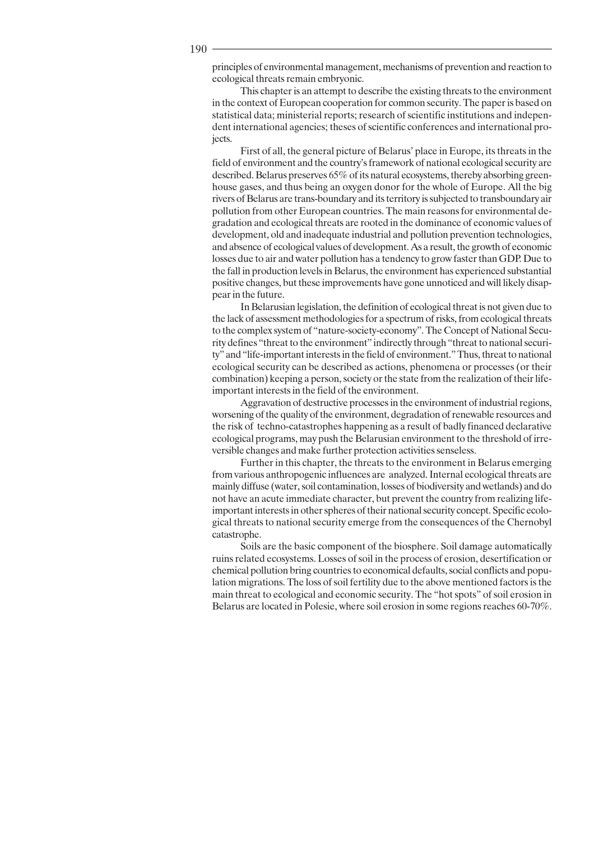principles of environmental management, mechanisms of prevention and reaction to ecological threats remain embryonic.

This chapter is an attempt to describe the existing threats to the environment in the context of European cooperation for common security. The paper is based on statistical data; ministerial reports; research of scientific institutions and independent international agencies; theses of scientific conferences and international projects.

First of all, the general picture of Belarus' place in Europe, its threats in the field of environment and the country's framework of national ecological security are described. Belarus preserves 65% of its natural ecosystems, thereby absorbing greenhouse gases, and thus being an oxygen donor for the whole of Europe. All the big rivers of Belarus are trans-boundary and its territory is subjected to transboundary air pollution from other European countries. The main reasons for environmental degradation and ecological threats are rooted in the dominance of economic values of development, old and inadequate industrial and pollution prevention technologies, and absence of ecological values of development. As a result, the growth of economic losses due to air and water pollution has a tendency to grow faster than GDP. Due to the fall in production levels in Belarus, the environment has experienced substantial positive changes, but these improvements have gone unnoticed and will likely disappear in the future.

In Belarusian legislation, the definition of ecological threat is not given due to the lack of assessment methodologies for a spectrum of risks, from ecological threats to the complex system of "nature-society-economy". The Concept of National Security defines "threat to the environment" indirectly through "threat to national security" and "life-important interests in the field of environment." Thus, threat to national ecological security can be described as actions, phenomena or processes (or their combination) keeping a person, society or the state from the realization of their lifeimportant interests in the field of the environment.

Aggravation of destructive processes in the environment of industrial regions, worsening of the quality of the environment, degradation of renewable resources and the risk of techno-catastrophes happening as a result of badly financed declarative ecological programs, may push the Belarusian environment to the threshold of irreversible changes and make further protection activities senseless.

Further in this chapter, the threats to the environment in Belarus emerging from various anthropogenic influences are analyzed. Internal ecological threats are mainly diffuse (water, soil contamination, losses of biodiversity and wetlands) and do not have an acute immediate character, but prevent the country from realizing lifeimportant interests in other spheres of their national security concept. Specific ecological threats to national security emerge from the consequences of the Chernobyl catastrophe.

Soils are the basic component of the biosphere. Soil damage automatically ruins related ecosystems. Losses of soil in the process of erosion, desertification or chemical pollution bring countries to economical defaults, social conflicts and population migrations. The loss of soil fertility due to the above mentioned factors is the main threat to ecological and economic security. The "hot spots" of soil erosion in Belarus are located in Polesie, where soil erosion in some regions reaches 60-70%.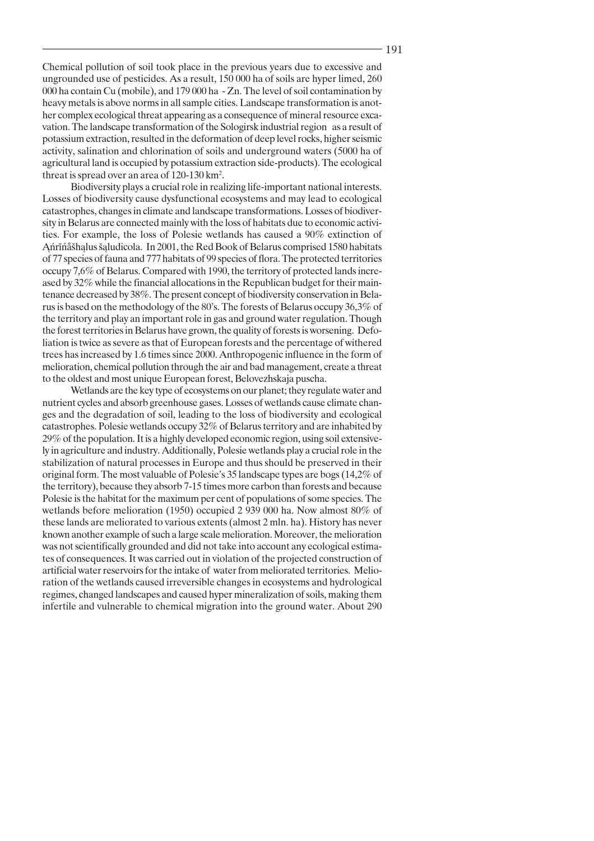Chemical pollution of soil took place in the previous years due to excessive and ungrounded use of pesticides. As a result, 150 000 ha of soils are hyper limed, 260 000 ha contain Cu (mobile), and 179 000 ha - Zn. The level of soil contamination by heavy metals is above norms in all sample cities. Landscape transformation is another complex ecological threat appearing as a consequence of mineral resource excavation. The landscape transformation of the Sologirsk industrial region as a result of potassium extraction, resulted in the deformation of deep level rocks, higher seismic activity, salination and chlorination of soils and underground waters (5000 ha of agricultural land is occupied by potassium extraction side-products). The ecological threat is spread over an area of 120-130 km<sup>2</sup>.

Biodiversity plays a crucial role in realizing life-important national interests. Losses of biodiversity cause dysfunctional ecosystems and may lead to ecological catastrophes, changes in climate and landscape transformations. Losses of biodiversity in Belarus are connected mainly with the loss of habitats due to economic activities. For example, the loss of Polesie wetlands has caused a 90% extinction of Antrīnašhalus šaludicola. In 2001, the Red Book of Belarus comprised 1580 habitats of 77 species of fauna and 777 habitats of 99 species of flora. The protected territories occupy 7,6% of Belarus. Compared with 1990, the territory of protected lands increased by 32% while the financial allocations in the Republican budget for their maintenance decreased by 38%. The present concept of biodiversity conservation in Belarus is based on the methodology of the 80's. The forests of Belarus occupy 36,3% of the territory and play an important role in gas and ground water regulation. Though the forest territories in Belarus have grown, the quality of forests is worsening. Defoliation is twice as severe as that of European forests and the percentage of withered trees has increased by 1.6 times since 2000. Anthropogenic influence in the form of melioration, chemical pollution through the air and bad management, create a threat to the oldest and most unique European forest, Belovezhskaja puscha.

Wetlands are the key type of ecosystems on our planet; they regulate water and nutrient cycles and absorb greenhouse gases. Losses of wetlands cause climate changes and the degradation of soil, leading to the loss of biodiversity and ecological catastrophes. Polesie wetlands occupy 32% of Belarus territory and are inhabited by 29% of the population. It is a highly developed economic region, using soil extensively in agriculture and industry. Additionally, Polesie wetlands play a crucial role in the stabilization of natural processes in Europe and thus should be preserved in their original form. The most valuable of Polesie's 35 landscape types are bogs (14,2% of the territory), because they absorb 7-15 times more carbon than forests and because Polesie is the habitat for the maximum per cent of populations of some species. The wetlands before melioration (1950) occupied 2 939 000 ha. Now almost 80% of these lands are meliorated to various extents (almost 2 mln. ha). History has never known another example of such a large scale melioration. Moreover, the melioration was not scientifically grounded and did not take into account any ecological estimates of consequences. It was carried out in violation of the projected construction of artificial water reservoirs for the intake of water from meliorated territories. Melioration of the wetlands caused irreversible changes in ecosystems and hydrological regimes, changed landscapes and caused hyper mineralization of soils, making them infertile and vulnerable to chemical migration into the ground water. About 290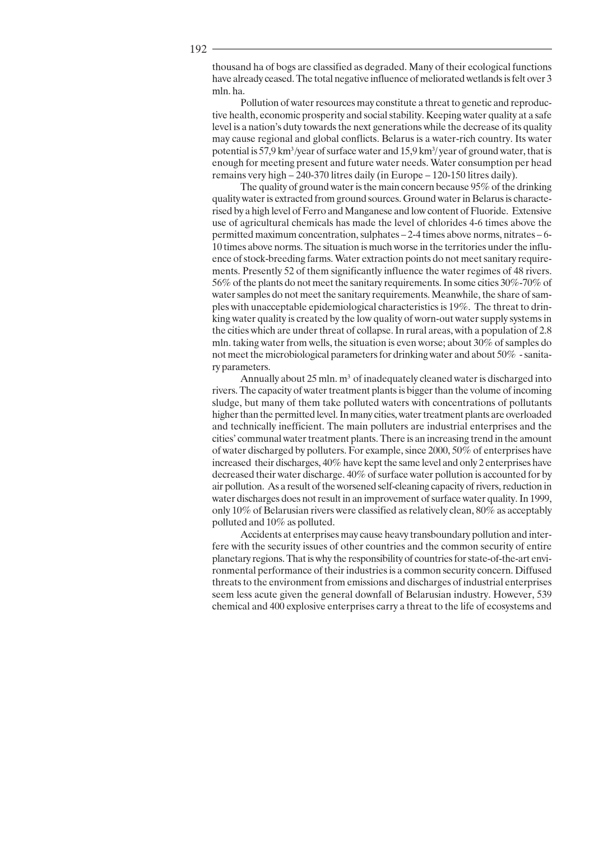thousand ha of bogs are classified as degraded. Many of their ecological functions have already ceased. The total negative influence of meliorated wetlands is felt over 3 mln. ha.

Pollution of water resources may constitute a threat to genetic and reproductive health, economic prosperity and social stability. Keeping water quality at a safe level is a nation's duty towards the next generations while the decrease of its quality may cause regional and global conflicts. Belarus is a water-rich country. Its water potential is 57.9 km<sup>3</sup>/year of surface water and 15.9 km<sup>3</sup>/year of ground water, that is enough for meeting present and future water needs. Water consumption per head remains very high  $-240-370$  litres daily (in Europe  $-120-150$  litres daily).

The quality of ground water is the main concern because 95% of the drinking quality water is extracted from ground sources. Ground water in Belarus is characterised by a high level of Ferro and Manganese and low content of Fluoride. Extensive use of agricultural chemicals has made the level of chlorides 4-6 times above the permitted maximum concentration, sulphates – 2-4 times above norms, nitrates – 6-10 times above norms. The situation is much worse in the territories under the influence of stock-breeding farms. Water extraction points do not meet sanitary requirements. Presently 52 of them significantly influence the water regimes of 48 rivers. 56% of the plants do not meet the sanitary requirements. In some cities 30%-70% of water samples do not meet the sanitary requirements. Meanwhile, the share of samples with unacceptable epidemiological characteristics is 19%. The threat to drinking water quality is created by the low quality of worn-out water supply systems in the cities which are under threat of collapse. In rural areas, with a population of 2.8 mln. taking water from wells, the situation is even worse; about 30% of samples do not meet the microbiological parameters for drinking water and about 50% - sanitary parameters.

Annually about 25 mln. m<sup>3</sup> of inadequately cleaned water is discharged into rivers. The capacity of water treatment plants is bigger than the volume of incoming sludge, but many of them take polluted waters with concentrations of pollutants higher than the permitted level. In many cities, water treatment plants are overloaded and technically inefficient. The main polluters are industrial enterprises and the cities' communal water treatment plants. There is an increasing trend in the amount of water discharged by polluters. For example, since 2000, 50% of enterprises have increased their discharges, 40% have kept the same level and only 2 enterprises have decreased their water discharge. 40% of surface water pollution is accounted for by air pollution. As a result of the worsened self-cleaning capacity of rivers, reduction in water discharges does not result in an improvement of surface water quality. In 1999, only 10% of Belarusian rivers were classified as relatively clean, 80% as acceptably polluted and 10% as polluted.

Accidents at enterprises may cause heavy transboundary pollution and interfere with the security issues of other countries and the common security of entire planetary regions. That is why the responsibility of countries for state-of-the-art environmental performance of their industries is a common security concern. Diffused threats to the environment from emissions and discharges of industrial enterprises seem less acute given the general downfall of Belarusian industry. However, 539 chemical and 400 explosive enterprises carry a threat to the life of ecosystems and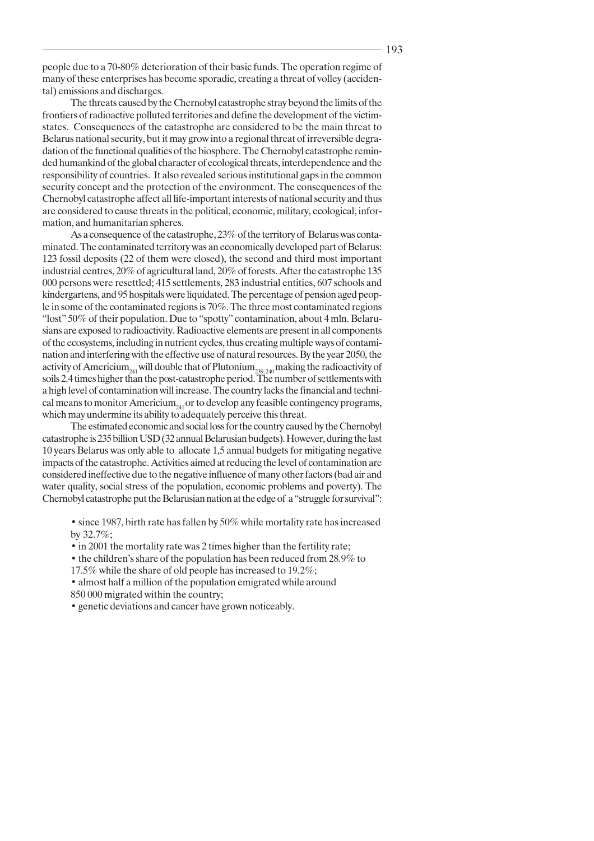people due to a 70-80% deterioration of their basic funds. The operation regime of many of these enterprises has become sporadic, creating a threat of volley (accidental) emissions and discharges.

The threats caused by the Chernobyl catastrophe stray beyond the limits of the frontiers of radioactive polluted territories and define the development of the victimstates. Consequences of the catastrophe are considered to be the main threat to Belarus national security, but it may grow into a regional threat of irreversible degradation of the functional qualities of the biosphere. The Chernobyl catastrophe reminded humankind of the global character of ecological threats, interdependence and the responsibility of countries. It also revealed serious institutional gaps in the common security concept and the protection of the environment. The consequences of the Chernobyl catastrophe affect all life-important interests of national security and thus are considered to cause threats in the political, economic, military, ecological, information, and humanitarian spheres.

As a consequence of the catastrophe, 23% of the territory of Belarus was contaminated. The contaminated territory was an economically developed part of Belarus: 123 fossil deposits (22 of them were closed), the second and third most important industrial centres, 20% of agricultural land, 20% of forests. After the catastrophe 135 000 persons were resettled; 415 settlements, 283 industrial entities, 607 schools and kindergartens, and 95 hospitals were liquidated. The percentage of pension aged people in some of the contaminated regions is 70%. The three most contaminated regions "lost" 50% of their population. Due to "spotty" contamination, about 4 mln. Belarusians are exposed to radioactivity. Radioactive elements are present in all components of the ecosystems, including in nutrient cycles, thus creating multiple ways of contamination and interfering with the effective use of natural resources. By the year 2050, the activity of Americium<sub>241</sub> will double that of Plutonium<sub>239.240</sub> making the radioactivity of soils 2.4 times higher than the post-catastrophe period. The number of settlements with a high level of contamination will increase. The country lacks the financial and technical means to monitor Americium<sub>241</sub> or to develop any feasible contingency programs, which may undermine its ability to adequately perceive this threat.

The estimated economic and social loss for the country caused by the Chernobyl catastrophe is 235 billion USD (32 annual Belarusian budgets). However, during the last 10 years Belarus was only able to allocate 1,5 annual budgets for mitigating negative impacts of the catastrophe. Activities aimed at reducing the level of contamination are considered ineffective due to the negative influence of many other factors (bad air and water quality, social stress of the population, economic problems and poverty). The Chernobyl catastrophe put the Belarusian nation at the edge of a "struggle for survival":

• since 1987, birth rate has fallen by 50% while mortality rate has increased by  $32.7\%$ :

• in 2001 the mortality rate was 2 times higher than the fertility rate;

• the children's share of the population has been reduced from 28.9% to

17.5% while the share of old people has increased to 19.2%;

• almost half a million of the population emigrated while around 850 000 migrated within the country;

• genetic deviations and cancer have grown noticeably.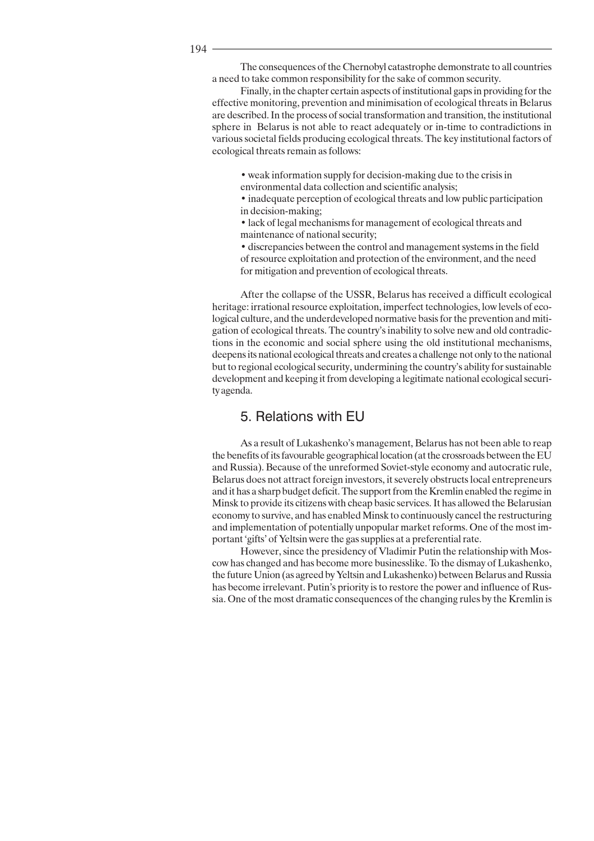194

The consequences of the Chernobyl catastrophe demonstrate to all countries a need to take common responsibility for the sake of common security.

Finally, in the chapter certain aspects of institutional gaps in providing for the effective monitoring, prevention and minimisation of ecological threats in Belarus are described. In the process of social transformation and transition, the institutional sphere in Belarus is not able to react adequately or in-time to contradictions in various societal fields producing ecological threats. The key institutional factors of ecological threats remain as follows:

• weak information supply for decision-making due to the crisis in environmental data collection and scientific analysis;

• inadequate perception of ecological threats and low public participation in decision-making;

• lack of legal mechanisms for management of ecological threats and maintenance of national security;

• discrepancies between the control and management systems in the field of resource exploitation and protection of the environment, and the need for mitigation and prevention of ecological threats.

After the collapse of the USSR, Belarus has received a difficult ecological heritage: irrational resource exploitation, imperfect technologies, low levels of ecological culture, and the underdeveloped normative basis for the prevention and mitigation of ecological threats. The country's inability to solve new and old contradictions in the economic and social sphere using the old institutional mechanisms, deepens its national ecological threats and creates a challenge not only to the national but to regional ecological security, undermining the country's ability for sustainable development and keeping it from developing a legitimate national ecological security agenda.

## 5. Relations with EU

As a result of Lukashenko's management, Belarus has not been able to reap the benefits of its favourable geographical location (at the crossroads between the EU and Russia). Because of the unreformed Soviet-style economy and autocratic rule, Belarus does not attract foreign investors, it severely obstructs local entrepreneurs and it has a sharp budget deficit. The support from the Kremlin enabled the regime in Minsk to provide its citizens with cheap basic services. It has allowed the Belarusian economy to survive, and has enabled Minsk to continuously cancel the restructuring and implementation of potentially unpopular market reforms. One of the most important 'gifts' of Yeltsin were the gas supplies at a preferential rate.

However, since the presidency of Vladimir Putin the relationship with Moscow has changed and has become more businesslike. To the dismay of Lukashenko, the future Union (as agreed by Yeltsin and Lukashenko) between Belarus and Russia has become irrelevant. Putin's priority is to restore the power and influence of Russia. One of the most dramatic consequences of the changing rules by the Kremlin is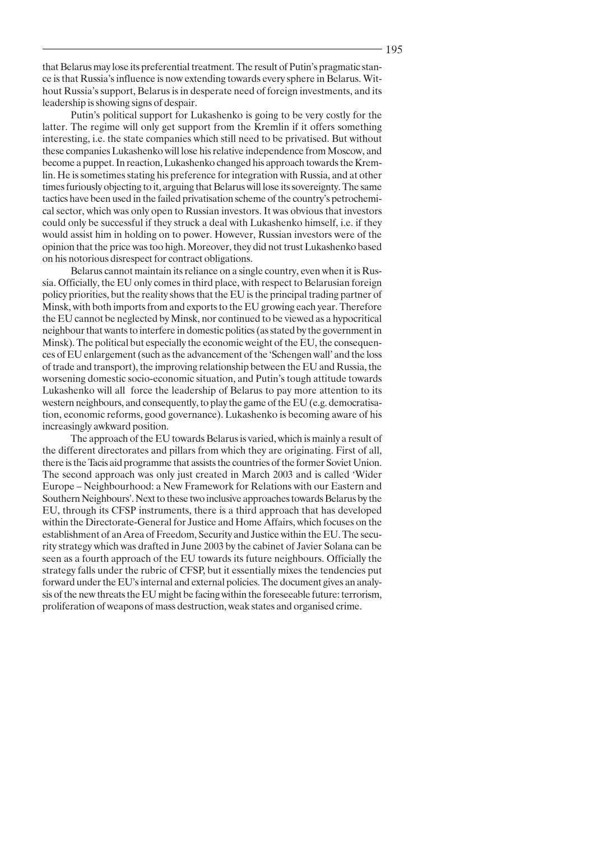that Belarus may lose its preferential treatment. The result of Putin's pragmatic stance is that Russia's influence is now extending towards every sphere in Belarus. Without Russia's support, Belarus is in desperate need of foreign investments, and its leadership is showing signs of despair.

Putin's political support for Lukashenko is going to be very costly for the latter. The regime will only get support from the Kremlin if it offers something interesting, i.e. the state companies which still need to be privatised. But without these companies Lukashenko will lose his relative independence from Moscow, and become a puppet. In reaction, Lukashenko changed his approach towards the Kremlin. He is sometimes stating his preference for integration with Russia, and at other times furiously objecting to it, arguing that Belarus will lose its sovereignty. The same tactics have been used in the failed privatisation scheme of the country's petrochemical sector, which was only open to Russian investors. It was obvious that investors could only be successful if they struck a deal with Lukashenko himself, i.e. if they would assist him in holding on to power. However, Russian investors were of the opinion that the price was too high. Moreover, they did not trust Lukashenko based on his notorious disrespect for contract obligations.

Belarus cannot maintain its reliance on a single country, even when it is Russia. Officially, the EU only comes in third place, with respect to Belarusian foreign policy priorities, but the reality shows that the EU is the principal trading partner of Minsk, with both imports from and exports to the EU growing each year. Therefore the EU cannot be neglected by Minsk, nor continued to be viewed as a hypocritical neighbour that wants to interfere in domestic politics (as stated by the government in Minsk). The political but especially the economic weight of the EU, the consequences of EU enlargement (such as the advancement of the 'Schengen wall' and the loss of trade and transport), the improving relationship between the EU and Russia, the worsening domestic socio-economic situation, and Putin's tough attitude towards Lukashenko will all force the leadership of Belarus to pay more attention to its western neighbours, and consequently, to play the game of the EU (e.g. democratisation, economic reforms, good governance). Lukashenko is becoming aware of his increasingly awkward position.

The approach of the EU towards Belarus is varied, which is mainly a result of the different directorates and pillars from which they are originating. First of all, there is the Tacis aid programme that assists the countries of the former Soviet Union. The second approach was only just created in March 2003 and is called 'Wider Europe – Neighbourhood: a New Framework for Relations with our Eastern and Southern Neighbours'. Next to these two inclusive approaches towards Belarus by the EU, through its CFSP instruments, there is a third approach that has developed within the Directorate-General for Justice and Home Affairs, which focuses on the establishment of an Area of Freedom, Security and Justice within the EU. The security strategy which was drafted in June 2003 by the cabinet of Javier Solana can be seen as a fourth approach of the EU towards its future neighbours. Officially the strategy falls under the rubric of CFSP, but it essentially mixes the tendencies put forward under the EU's internal and external policies. The document gives an analysis of the new threats the EU might be facing within the foreseeable future: terrorism, proliferation of weapons of mass destruction, weak states and organised crime.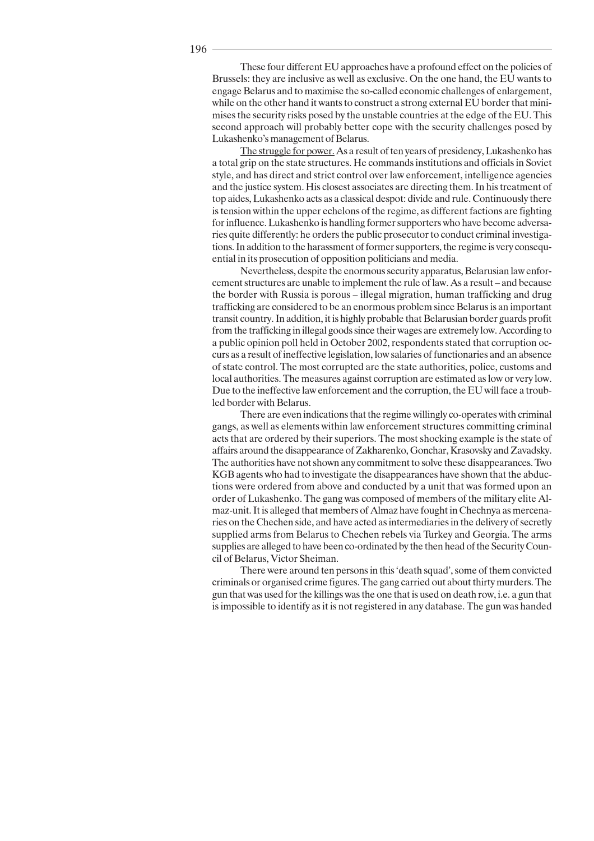196

These four different EU approaches have a profound effect on the policies of Brussels: they are inclusive as well as exclusive. On the one hand, the EU wants to engage Belarus and to maximise the so-called economic challenges of enlargement, while on the other hand it wants to construct a strong external EU border that minimises the security risks posed by the unstable countries at the edge of the EU. This second approach will probably better cope with the security challenges posed by Lukashenko's management of Belarus.

The struggle for power. As a result of ten years of presidency, Lukashenko has a total grip on the state structures. He commands institutions and officials in Soviet style, and has direct and strict control over law enforcement, intelligence agencies and the justice system. His closest associates are directing them. In his treatment of top aides, Lukashenko acts as a classical despot: divide and rule. Continuously there is tension within the upper echelons of the regime, as different factions are fighting for influence. Lukashenko is handling former supporters who have become adversaries quite differently: he orders the public prosecutor to conduct criminal investigations. In addition to the harassment of former supporters, the regime is very consequential in its prosecution of opposition politicians and media.

Nevertheless, despite the enormous security apparatus, Belarusian law enforcement structures are unable to implement the rule of law. As a result – and because the border with Russia is porous - illegal migration, human trafficking and drug trafficking are considered to be an enormous problem since Belarus is an important transit country. In addition, it is highly probable that Belarusian border guards profit from the trafficking in illegal goods since their wages are extremely low. According to a public opinion poll held in October 2002, respondents stated that corruption occurs as a result of ineffective legislation, low salaries of functionaries and an absence of state control. The most corrupted are the state authorities, police, customs and local authorities. The measures against corruption are estimated as low or very low. Due to the ineffective law enforcement and the corruption, the EU will face a troubled border with Belarus.

There are even indications that the regime willingly co-operates with criminal gangs, as well as elements within law enforcement structures committing criminal acts that are ordered by their superiors. The most shocking example is the state of affairs around the disappearance of Zakharenko, Gonchar, Krasovsky and Zavadsky. The authorities have not shown any commitment to solve these disappearances. Two KGB agents who had to investigate the disappearances have shown that the abductions were ordered from above and conducted by a unit that was formed upon an order of Lukashenko. The gang was composed of members of the military elite Almaz-unit. It is alleged that members of Almaz have fought in Chechnya as mercenaries on the Chechen side, and have acted as intermediaries in the delivery of secretly supplied arms from Belarus to Chechen rebels via Turkey and Georgia. The arms supplies are alleged to have been co-ordinated by the then head of the Security Council of Belarus, Victor Sheiman.

There were around ten persons in this 'death squad', some of them convicted criminals or organised crime figures. The gang carried out about thirty murders. The gun that was used for the killings was the one that is used on death row, i.e. a gun that is impossible to identify as it is not registered in any database. The gun was handed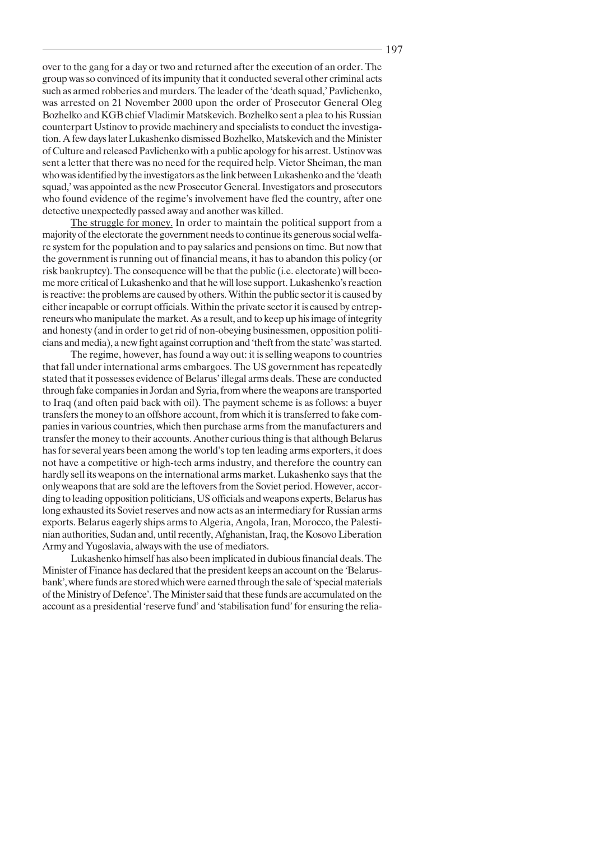over to the gang for a day or two and returned after the execution of an order. The group was so convinced of its impunity that it conducted several other criminal acts such as armed robberies and murders. The leader of the 'death squad,' Pavlichenko, was arrested on 21 November 2000 upon the order of Prosecutor General Oleg Bozhelko and KGB chief Vladimir Matskevich. Bozhelko sent a plea to his Russian counterpart Ustinov to provide machinery and specialists to conduct the investigation. A few days later Lukashenko dismissed Bozhelko, Matskevich and the Minister of Culture and released Pavlichenko with a public apology for his arrest. Ustinov was sent a letter that there was no need for the required help. Victor Sheiman, the man who was identified by the investigators as the link between Lukashenko and the 'death squad,' was appointed as the new Prosecutor General. Investigators and prosecutors who found evidence of the regime's involvement have fled the country, after one detective unexpectedly passed away and another was killed.

The struggle for money. In order to maintain the political support from a majority of the electorate the government needs to continue its generous social welfare system for the population and to pay salaries and pensions on time. But now that the government is running out of financial means, it has to abandon this policy (or risk bankruptcy). The consequence will be that the public (i.e. electorate) will become more critical of Lukashenko and that he will lose support. Lukashenko's reaction is reactive: the problems are caused by others. Within the public sector it is caused by either incapable or corrupt officials. Within the private sector it is caused by entrepreneurs who manipulate the market. As a result, and to keep up his image of integrity and honesty (and in order to get rid of non-obeying businessmen, opposition politicians and media), a new fight against corruption and 'theft from the state' was started.

The regime, however, has found a way out: it is selling weapons to countries that fall under international arms embargoes. The US government has repeatedly stated that it possesses evidence of Belarus' illegal arms deals. These are conducted through fake companies in Jordan and Syria, from where the weapons are transported to Iraq (and often paid back with oil). The payment scheme is as follows: a buyer transfers the money to an offshore account, from which it is transferred to fake companies in various countries, which then purchase arms from the manufacturers and transfer the money to their accounts. Another curious thing is that although Belarus has for several years been among the world's top ten leading arms exporters, it does not have a competitive or high-tech arms industry, and therefore the country can hardly sell its weapons on the international arms market. Lukashenko says that the only we apons that are sold are the leftovers from the Soviet period. However, according to leading opposition politicians, US officials and weapons experts, Belarus has long exhausted its Soviet reserves and now acts as an intermediary for Russian arms exports. Belarus eagerly ships arms to Algeria, Angola, Iran, Morocco, the Palestinian authorities, Sudan and, until recently, Afghanistan, Iraq, the Kosovo Liberation Army and Yugoslavia, always with the use of mediators.

Lukashenko himself has also been implicated in dubious financial deals. The Minister of Finance has declared that the president keeps an account on the 'Belarusbank', where funds are stored which were earned through the sale of 'special materials of the Ministry of Defence'. The Minister said that these funds are accumulated on the account as a presidential 'reserve fund' and 'stabilisation fund' for ensuring the relia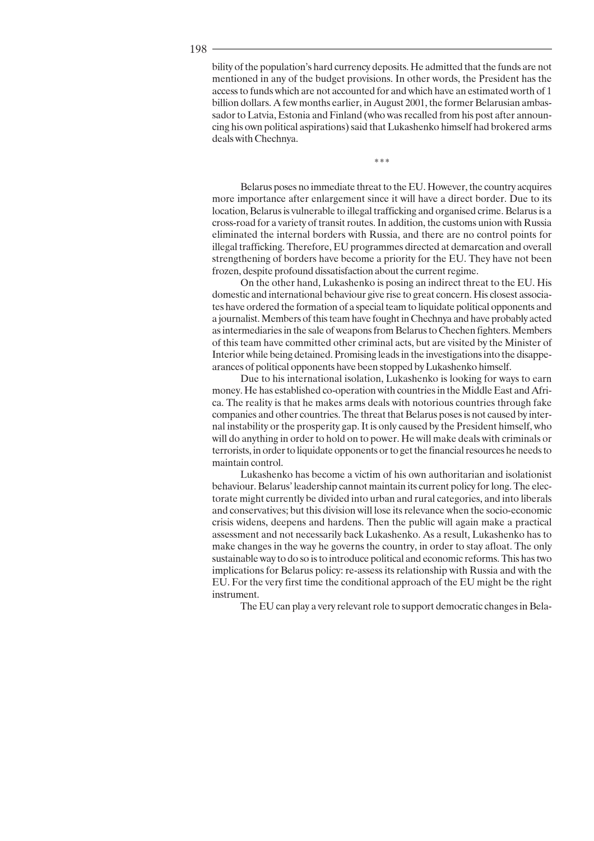198

bility of the population's hard currency deposits. He admitted that the funds are not mentioned in any of the budget provisions. In other words, the President has the access to funds which are not accounted for and which have an estimated worth of 1 billion dollars. A few months earlier, in August 2001, the former Belarusian ambassador to Latvia, Estonia and Finland (who was recalled from his post after announcing his own political aspirations) said that Lukashenko himself had brokered arms deals with Chechnya.

 $***$ 

Belarus poses no immediate threat to the EU. However, the country acquires more importance after enlargement since it will have a direct border. Due to its location, Belarus is vulnerable to illegal trafficking and organised crime. Belarus is a cross-road for a variety of transit routes. In addition, the customs union with Russia eliminated the internal borders with Russia, and there are no control points for illegal trafficking. Therefore, EU programmes directed at demarcation and overall strengthening of borders have become a priority for the EU. They have not been frozen, despite profound dissatisfaction about the current regime.

On the other hand, Lukashenko is posing an indirect threat to the EU. His domestic and international behaviour give rise to great concern. His closest associates have ordered the formation of a special team to liquidate political opponents and a journalist. Members of this team have fought in Chechnya and have probably acted as intermediaries in the sale of weapons from Belarus to Chechen fighters. Members of this team have committed other criminal acts, but are visited by the Minister of Interior while being detained. Promising leads in the investigations into the disappearances of political opponents have been stopped by Lukashenko himself.

Due to his international isolation, Lukashenko is looking for ways to earn money. He has established co-operation with countries in the Middle East and Africa. The reality is that he makes arms deals with notorious countries through fake companies and other countries. The threat that Belarus poses is not caused by internal instability or the prosperity gap. It is only caused by the President himself, who will do anything in order to hold on to power. He will make deals with criminals or terrorists, in order to liquidate opponents or to get the financial resources he needs to maintain control.

Lukashenko has become a victim of his own authoritarian and isolationist behaviour. Belarus' leadership cannot maintain its current policy for long. The electorate might currently be divided into urban and rural categories, and into liberals and conservatives; but this division will lose its relevance when the socio-economic crisis widens, deepens and hardens. Then the public will again make a practical assessment and not necessarily back Lukashenko. As a result, Lukashenko has to make changes in the way he governs the country, in order to stay afloat. The only sustainable way to do so is to introduce political and economic reforms. This has two implications for Belarus policy: re-assess its relationship with Russia and with the EU. For the very first time the conditional approach of the EU might be the right instrument.

The EU can play a very relevant role to support democratic changes in Bela-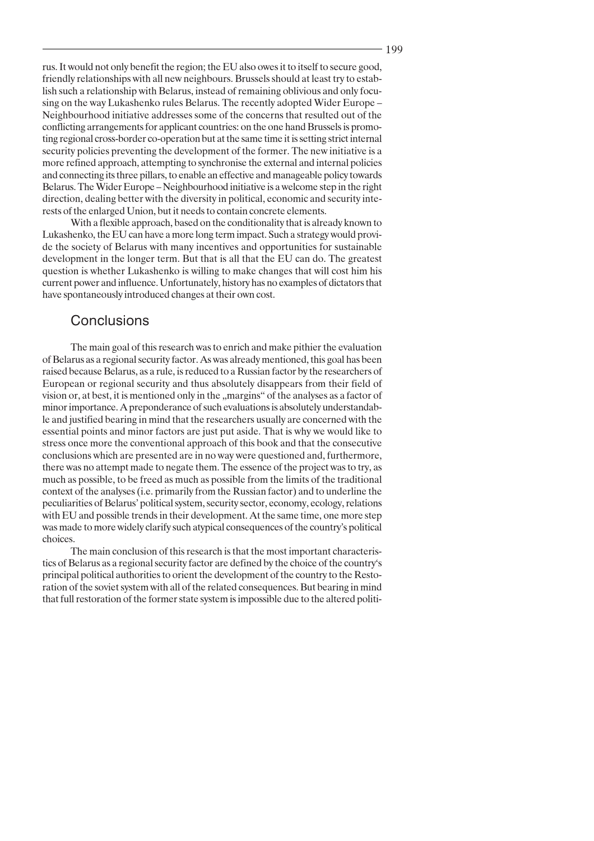rus. It would not only benefit the region; the EU also owes it to itself to secure good, friendly relationships with all new neighbours. Brussels should at least try to establish such a relationship with Belarus, instead of remaining oblivious and only focusing on the way Lukashenko rules Belarus. The recently adopted Wider Europe -Neighbourhood initiative addresses some of the concerns that resulted out of the conflicting arrangements for applicant countries: on the one hand Brussels is promoting regional cross-border co-operation but at the same time it is setting strict internal security policies preventing the development of the former. The new initiative is a more refined approach, attempting to synchronise the external and internal policies and connecting its three pillars, to enable an effective and manageable policy towards Belarus. The Wider Europe – Neighbourhood initiative is a welcome step in the right direction, dealing better with the diversity in political, economic and security interests of the enlarged Union, but it needs to contain concrete elements.

With a flexible approach, based on the conditionality that is already known to Lukashenko, the EU can have a more long term impact. Such a strategy would provide the society of Belarus with many incentives and opportunities for sustainable development in the longer term. But that is all that the EU can do. The greatest question is whether Lukashenko is willing to make changes that will cost him his current power and influence. Unfortunately, history has no examples of dictators that have spontaneously introduced changes at their own cost.

# Conclusions

The main goal of this research was to enrich and make pithier the evaluation of Belarus as a regional security factor. As was already mentioned, this goal has been raised because Belarus, as a rule, is reduced to a Russian factor by the researchers of European or regional security and thus absolutely disappears from their field of vision or, at best, it is mentioned only in the "margins" of the analyses as a factor of minor importance. A preponderance of such evaluations is absolutely understandable and justified bearing in mind that the researchers usually are concerned with the essential points and minor factors are just put aside. That is why we would like to stress once more the conventional approach of this book and that the consecutive conclusions which are presented are in no way were questioned and, furthermore, there was no attempt made to negate them. The essence of the project was to try, as much as possible, to be freed as much as possible from the limits of the traditional context of the analyses (i.e. primarily from the Russian factor) and to underline the peculiarities of Belarus' political system, security sector, economy, ecology, relations with EU and possible trends in their development. At the same time, one more step was made to more widely clarify such atypical consequences of the country's political choices.

The main conclusion of this research is that the most important characteristics of Belarus as a regional security factor are defined by the choice of the country's principal political authorities to orient the development of the country to the Restoration of the soviet system with all of the related consequences. But bearing in mind that full restoration of the former state system is impossible due to the altered politi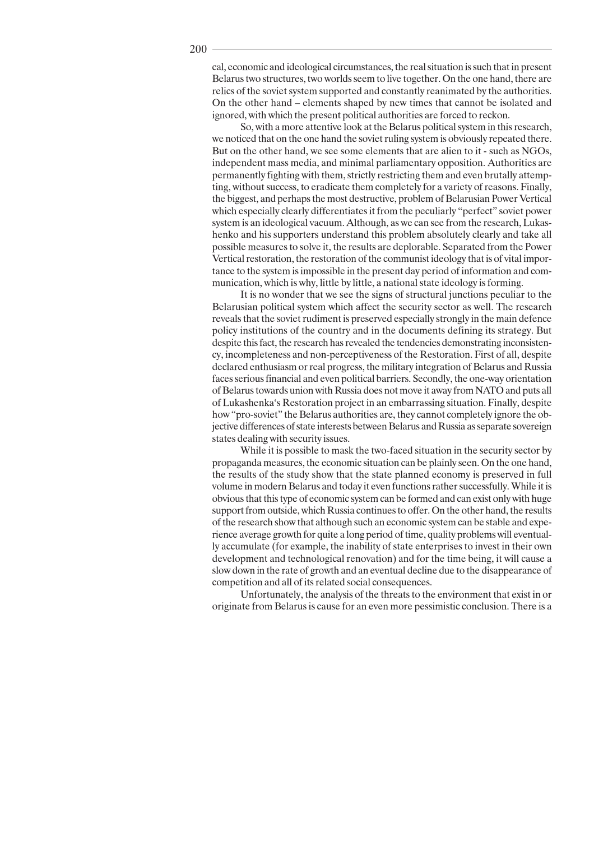cal, economic and ideological circumstances, the real situation is such that in present Belarus two structures, two worlds seem to live together. On the one hand, there are relics of the soviet system supported and constantly reanimated by the authorities. On the other hand – elements shaped by new times that cannot be isolated and ignored, with which the present political authorities are forced to reckon.

So, with a more attentive look at the Belarus political system in this research, we noticed that on the one hand the soviet ruling system is obviously repeated there. But on the other hand, we see some elements that are alien to it - such as NGOs, independent mass media, and minimal parliamentary opposition. Authorities are permanently fighting with them, strictly restricting them and even brutally attempting, without success, to eradicate them completely for a variety of reasons. Finally, the biggest, and perhaps the most destructive, problem of Belarusian Power Vertical which especially clearly differentiates it from the peculiarly "perfect" soviet power system is an ideological vacuum. Although, as we can see from the research, Lukashenko and his supporters understand this problem absolutely clearly and take all possible measures to solve it, the results are deplorable. Separated from the Power Vertical restoration, the restoration of the communist ideology that is of vital importance to the system is impossible in the present day period of information and communication, which is why, little by little, a national state ideology is forming.

It is no wonder that we see the signs of structural junctions peculiar to the Belarusian political system which affect the security sector as well. The research reveals that the soviet rudiment is preserved especially strongly in the main defence policy institutions of the country and in the documents defining its strategy. But despite this fact, the research has revealed the tendencies demonstrating inconsistency, incompleteness and non-perceptiveness of the Restoration. First of all, despite declared enthusiasm or real progress, the military integration of Belarus and Russia faces serious financial and even political barriers. Secondly, the one-way orientation of Belarus towards union with Russia does not move it away from NATO and puts all of Lukashenka's Restoration project in an embarrassing situation. Finally, despite how "pro-soviet" the Belarus authorities are, they cannot completely ignore the objective differences of state interests between Belarus and Russia as separate sovereign states dealing with security issues.

While it is possible to mask the two-faced situation in the security sector by propaganda measures, the economic situation can be plainly seen. On the one hand, the results of the study show that the state planned economy is preserved in full volume in modern Belarus and today it even functions rather successfully. While it is obvious that this type of economic system can be formed and can exist only with huge support from outside, which Russia continues to offer. On the other hand, the results of the research show that although such an economic system can be stable and experience average growth for quite a long period of time, quality problems will eventually accumulate (for example, the inability of state enterprises to invest in their own development and technological renovation) and for the time being, it will cause a slow down in the rate of growth and an eventual decline due to the disappearance of competition and all of its related social consequences.

Unfortunately, the analysis of the threats to the environment that exist in or originate from Belarus is cause for an even more pessimistic conclusion. There is a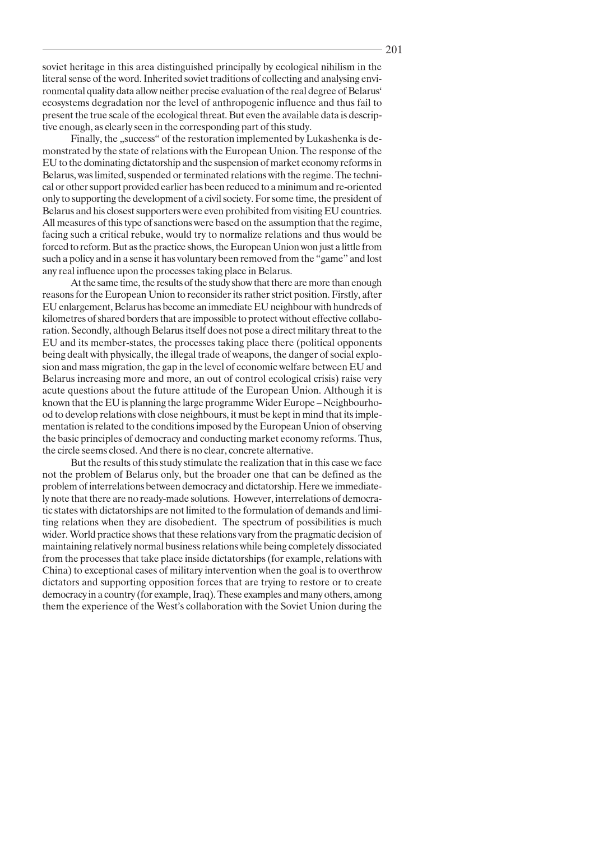soviet heritage in this area distinguished principally by ecological nihilism in the literal sense of the word. Inherited soviet traditions of collecting and analysing environmental quality data allow neither precise evaluation of the real degree of Belarus' ecosystems degradation nor the level of anthropogenic influence and thus fail to present the true scale of the ecological threat. But even the available data is descriptive enough, as clearly seen in the corresponding part of this study.

Finally, the "success" of the restoration implemented by Lukashenka is demonstrated by the state of relations with the European Union. The response of the EU to the dominating dictatorship and the suspension of market economy reforms in Belarus, was limited, suspended or terminated relations with the regime. The technical or other support provided earlier has been reduced to a minimum and re-oriented only to supporting the development of a civil society. For some time, the president of Belarus and his closest supporters were even prohibited from visiting EU countries. All measures of this type of sanctions were based on the assumption that the regime, facing such a critical rebuke, would try to normalize relations and thus would be forced to reform. But as the practice shows, the European Union won just a little from such a policy and in a sense it has voluntary been removed from the "game" and lost any real influence upon the processes taking place in Belarus.

At the same time, the results of the study show that there are more than enough reasons for the European Union to reconsider its rather strict position. Firstly, after EU enlargement, Belarus has become an immediate EU neighbour with hundreds of kilometres of shared borders that are impossible to protect without effective collaboration. Secondly, although Belarus itself does not pose a direct military threat to the EU and its member-states, the processes taking place there (political opponents being dealt with physically, the illegal trade of weapons, the danger of social explosion and mass migration, the gap in the level of economic welfare between EU and Belarus increasing more and more, an out of control ecological crisis) raise very acute questions about the future attitude of the European Union. Although it is known that the EU is planning the large programme Wider Europe – Neighbourhood to develop relations with close neighbours, it must be kept in mind that its implementation is related to the conditions imposed by the European Union of observing the basic principles of democracy and conducting market economy reforms. Thus, the circle seems closed. And there is no clear, concrete alternative.

But the results of this study stimulate the realization that in this case we face not the problem of Belarus only, but the broader one that can be defined as the problem of interrelations between democracy and dictatorship. Here we immediately note that there are no ready-made solutions. However, interrelations of democratic states with dictatorships are not limited to the formulation of demands and limiting relations when they are disobedient. The spectrum of possibilities is much wider. World practice shows that these relations vary from the pragmatic decision of maintaining relatively normal business relations while being completely dissociated from the processes that take place inside dictatorships (for example, relations with China) to exceptional cases of military intervention when the goal is to overthrow dictators and supporting opposition forces that are trying to restore or to create democracy in a country (for example, Iraq). These examples and many others, among them the experience of the West's collaboration with the Soviet Union during the